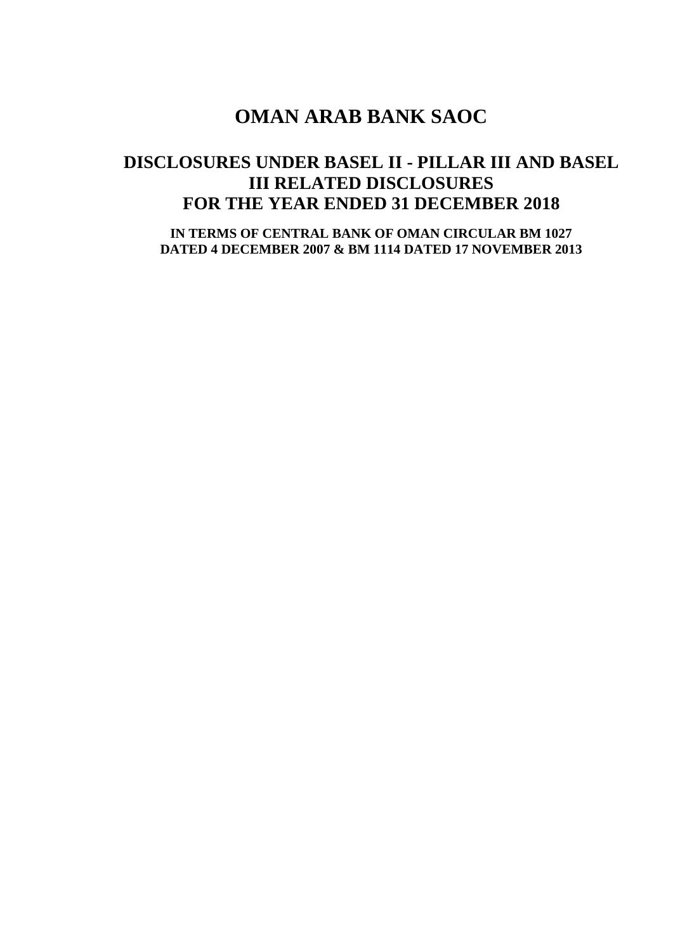# **DISCLOSURES UNDER BASEL II - PILLAR III AND BASEL III RELATED DISCLOSURES FOR THE YEAR ENDED 31 DECEMBER 2018**

**IN TERMS OF CENTRAL BANK OF OMAN CIRCULAR BM 1027 DATED 4 DECEMBER 2007 & BM 1114 DATED 17 NOVEMBER 2013**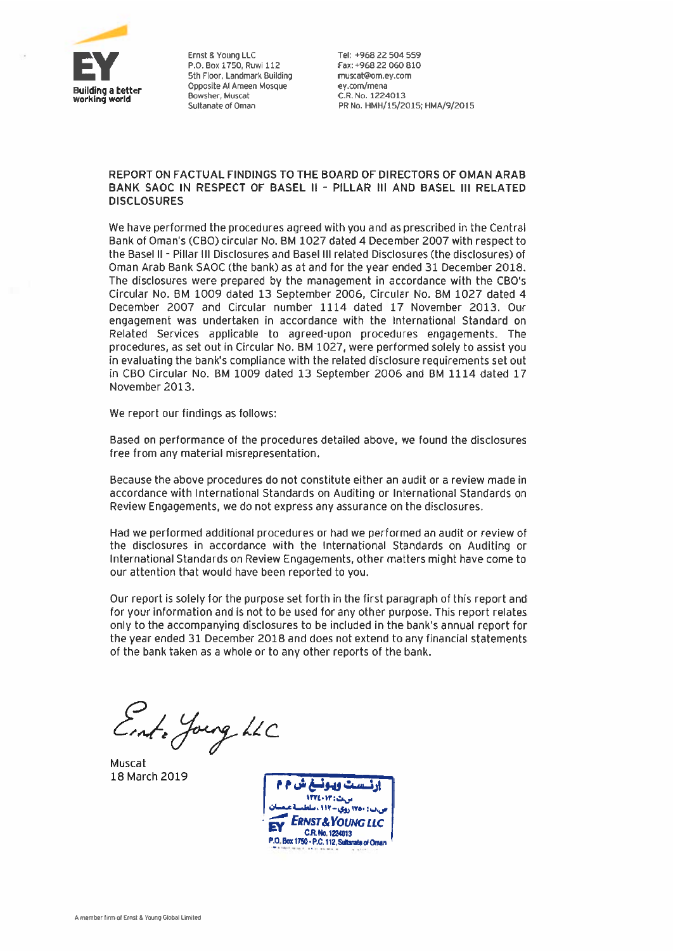

Ernst & Young LLC P.O. Box 1750, Ruwi 112 5th Floor, Landmark Building Opposite Al Ameen Mosque Bowsher, Muscat Sultanate of Oman

Tel: +968 22 504 559 Fax: +968 22 060 810 muscat@om.ey.com ey.com/mena C.R. No. 1224013 PR No. HMH/15/2015; HMA/9/2015

### REPORT ON FACTUAL FINDINGS TO THE BOARD OF DIRECTORS OF OMAN ARAB BANK SAOC IN RESPECT OF BASEL II - PILLAR III AND BASEL III RELATED **DISCLOSURES**

We have performed the procedures agreed with you and as prescribed in the Central Bank of Oman's (CBO) circular No. BM 1027 dated 4 December 2007 with respect to the Basel II - Pillar III Disclosures and Basel III related Disclosures (the disclosures) of Oman Arab Bank SAOC (the bank) as at and for the year ended 31 December 2018. The disclosures were prepared by the management in accordance with the CBO's Circular No. BM 1009 dated 13 September 2006, Circular No. BM 1027 dated 4 December 2007 and Circular number 1114 dated 17 November 2013. Our engagement was undertaken in accordance with the International Standard on Related Services applicable to agreed-upon procedures engagements. The procedures, as set out in Circular No. BM 1027, were performed solely to assist you in evaluating the bank's compliance with the related disclosure requirements set out in CBO Circular No. BM 1009 dated 13 September 2006 and BM 1114 dated 17 November 2013.

We report our findings as follows:

Based on performance of the procedures detailed above, we found the disclosures free from any material misrepresentation.

Because the above procedures do not constitute either an audit or a review made in accordance with International Standards on Auditing or International Standards on Review Engagements, we do not express any assurance on the disclosures.

Had we performed additional procedures or had we performed an audit or review of the disclosures in accordance with the International Standards on Auditing or International Standards on Review Engagements, other matters might have come to our attention that would have been reported to you.

Our report is solely for the purpose set forth in the first paragraph of this report and for your information and is not to be used for any other purpose. This report relates only to the accompanying disclosures to be included in the bank's annual report for the year ended 31 December 2018 and does not extend to any financial statements of the bank taken as a whole or to any other reports of the bank.

Ent- Jourg LLC

Muscat 18 March 2019

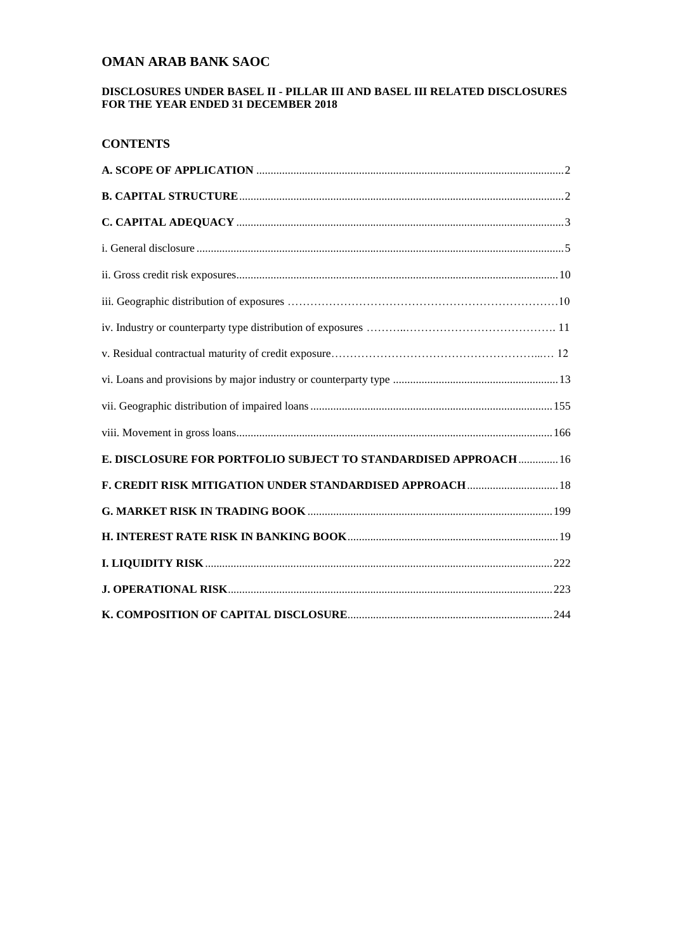### **DISCLOSURES UNDER BASEL II - PILLAR III AND BASEL III RELATED DISCLOSURES FOR THE YEAR ENDED 31 DECEMBER 2018**

## **CONTENTS**

| E. DISCLOSURE FOR PORTFOLIO SUBJECT TO STANDARDISED APPROACH  16 |  |
|------------------------------------------------------------------|--|
| F. CREDIT RISK MITIGATION UNDER STANDARDISED APPROACH  18        |  |
|                                                                  |  |
|                                                                  |  |
|                                                                  |  |
|                                                                  |  |
|                                                                  |  |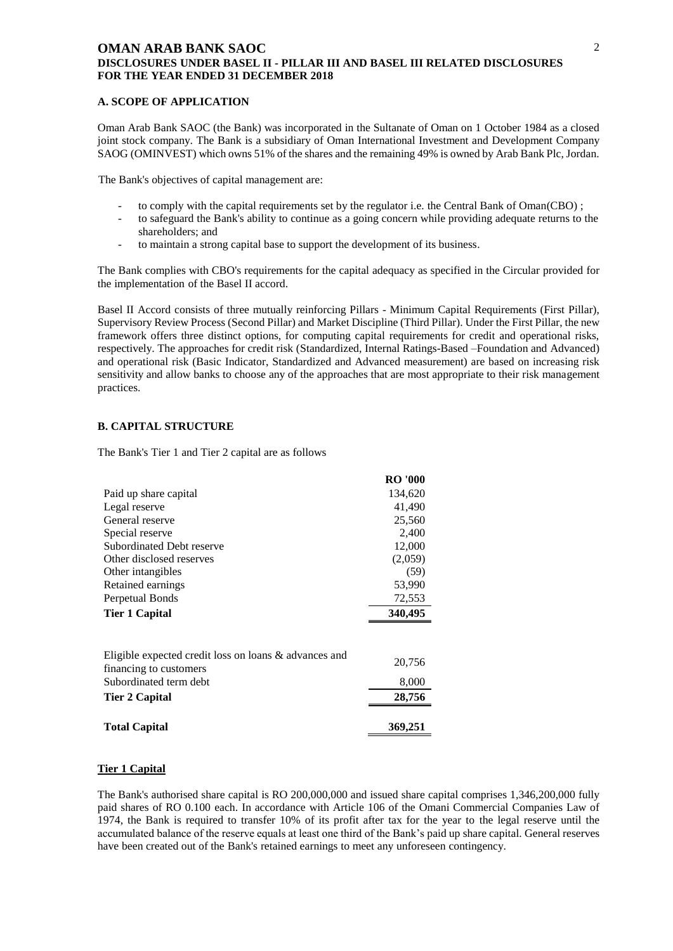#### <span id="page-3-0"></span>**A. SCOPE OF APPLICATION**

Oman Arab Bank SAOC (the Bank) was incorporated in the Sultanate of Oman on 1 October 1984 as a closed joint stock company. The Bank is a subsidiary of Oman International Investment and Development Company SAOG (OMINVEST) which owns 51% of the shares and the remaining 49% is owned by Arab Bank Plc, Jordan.

The Bank's objectives of capital management are:

- to comply with the capital requirements set by the regulator i.e. the Central Bank of Oman(CBO);
- to safeguard the Bank's ability to continue as a going concern while providing adequate returns to the shareholders; and
- to maintain a strong capital base to support the development of its business.

The Bank complies with CBO's requirements for the capital adequacy as specified in the Circular provided for the implementation of the Basel II accord.

Basel II Accord consists of three mutually reinforcing Pillars - Minimum Capital Requirements (First Pillar), Supervisory Review Process (Second Pillar) and Market Discipline (Third Pillar). Under the First Pillar, the new framework offers three distinct options, for computing capital requirements for credit and operational risks, respectively. The approaches for credit risk (Standardized, Internal Ratings-Based –Foundation and Advanced) and operational risk (Basic Indicator, Standardized and Advanced measurement) are based on increasing risk sensitivity and allow banks to choose any of the approaches that are most appropriate to their risk management practices.

### <span id="page-3-1"></span>**B. CAPITAL STRUCTURE**

The Bank's Tier 1 and Tier 2 capital are as follows

|                                                       | <b>RO</b> '000 |
|-------------------------------------------------------|----------------|
| Paid up share capital                                 | 134,620        |
| Legal reserve                                         | 41,490         |
| General reserve                                       | 25,560         |
| Special reserve                                       | 2,400          |
| Subordinated Debt reserve                             | 12,000         |
| Other disclosed reserves                              | (2,059)        |
| Other intangibles                                     | (59)           |
| Retained earnings                                     | 53,990         |
| Perpetual Bonds                                       | 72,553         |
| <b>Tier 1 Capital</b>                                 | 340,495        |
|                                                       |                |
| Eligible expected credit loss on loans & advances and |                |
| financing to customers                                | 20,756         |
| Subordinated term debt                                | 8,000          |
| Tier 2 Capital                                        | 28,756         |
| <b>Total Capital</b>                                  | 369,251        |

#### **Tier 1 Capital**

The Bank's authorised share capital is RO 200,000,000 and issued share capital comprises 1,346,200,000 fully paid shares of RO 0.100 each. In accordance with Article 106 of the Omani Commercial Companies Law of 1974, the Bank is required to transfer 10% of its profit after tax for the year to the legal reserve until the accumulated balance of the reserve equals at least one third of the Bank's paid up share capital. General reserves have been created out of the Bank's retained earnings to meet any unforeseen contingency.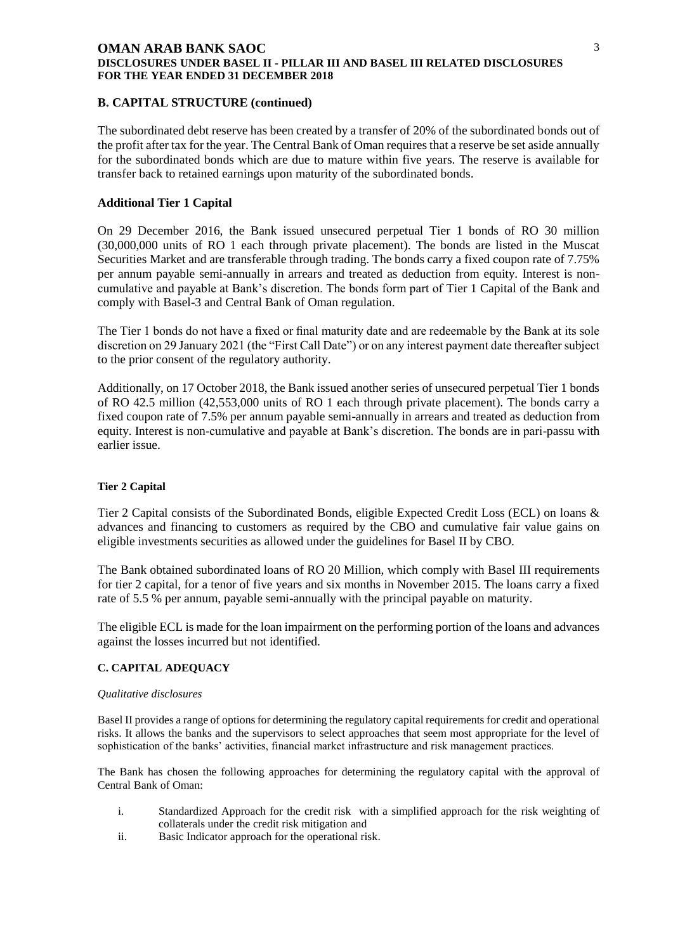### **B. CAPITAL STRUCTURE (continued)**

The subordinated debt reserve has been created by a transfer of 20% of the subordinated bonds out of the profit after tax for the year. The Central Bank of Oman requires that a reserve be set aside annually for the subordinated bonds which are due to mature within five years. The reserve is available for transfer back to retained earnings upon maturity of the subordinated bonds.

### **Additional Tier 1 Capital**

On 29 December 2016, the Bank issued unsecured perpetual Tier 1 bonds of RO 30 million (30,000,000 units of RO 1 each through private placement). The bonds are listed in the Muscat Securities Market and are transferable through trading. The bonds carry a fixed coupon rate of 7.75% per annum payable semi-annually in arrears and treated as deduction from equity. Interest is noncumulative and payable at Bank's discretion. The bonds form part of Tier 1 Capital of the Bank and comply with Basel-3 and Central Bank of Oman regulation.

The Tier 1 bonds do not have a fixed or final maturity date and are redeemable by the Bank at its sole discretion on 29 January 2021 (the "First Call Date") or on any interest payment date thereafter subject to the prior consent of the regulatory authority.

Additionally, on 17 October 2018, the Bank issued another series of unsecured perpetual Tier 1 bonds of RO 42.5 million (42,553,000 units of RO 1 each through private placement). The bonds carry a fixed coupon rate of 7.5% per annum payable semi-annually in arrears and treated as deduction from equity. Interest is non-cumulative and payable at Bank's discretion. The bonds are in pari-passu with earlier issue.

#### **Tier 2 Capital**

Tier 2 Capital consists of the Subordinated Bonds, eligible Expected Credit Loss (ECL) on loans & advances and financing to customers as required by the CBO and cumulative fair value gains on eligible investments securities as allowed under the guidelines for Basel II by CBO.

The Bank obtained subordinated loans of RO 20 Million, which comply with Basel III requirements for tier 2 capital, for a tenor of five years and six months in November 2015. The loans carry a fixed rate of 5.5 % per annum, payable semi-annually with the principal payable on maturity.

The eligible ECL is made for the loan impairment on the performing portion of the loans and advances against the losses incurred but not identified.

#### <span id="page-4-0"></span>**C. CAPITAL ADEQUACY**

#### *Qualitative disclosures*

Basel II provides a range of options for determining the regulatory capital requirements for credit and operational risks. It allows the banks and the supervisors to select approaches that seem most appropriate for the level of sophistication of the banks' activities, financial market infrastructure and risk management practices.

The Bank has chosen the following approaches for determining the regulatory capital with the approval of Central Bank of Oman:

- i. Standardized Approach for the credit risk with a simplified approach for the risk weighting of collaterals under the credit risk mitigation and
- ii. Basic Indicator approach for the operational risk.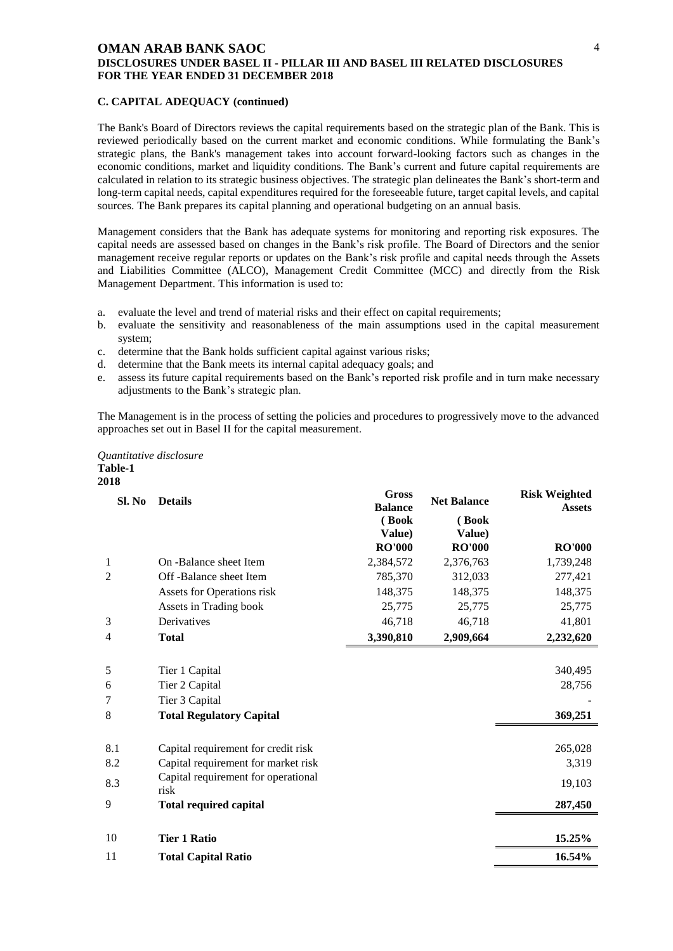#### **C. CAPITAL ADEQUACY (continued)**

The Bank's Board of Directors reviews the capital requirements based on the strategic plan of the Bank. This is reviewed periodically based on the current market and economic conditions. While formulating the Bank's strategic plans, the Bank's management takes into account forward-looking factors such as changes in the economic conditions, market and liquidity conditions. The Bank's current and future capital requirements are calculated in relation to its strategic business objectives. The strategic plan delineates the Bank's short-term and long-term capital needs, capital expenditures required for the foreseeable future, target capital levels, and capital sources. The Bank prepares its capital planning and operational budgeting on an annual basis.

Management considers that the Bank has adequate systems for monitoring and reporting risk exposures. The capital needs are assessed based on changes in the Bank's risk profile. The Board of Directors and the senior management receive regular reports or updates on the Bank's risk profile and capital needs through the Assets and Liabilities Committee (ALCO), Management Credit Committee (MCC) and directly from the Risk Management Department. This information is used to:

- a. evaluate the level and trend of material risks and their effect on capital requirements;
- b. evaluate the sensitivity and reasonableness of the main assumptions used in the capital measurement system;
- c. determine that the Bank holds sufficient capital against various risks;
- d. determine that the Bank meets its internal capital adequacy goals; and
- e. assess its future capital requirements based on the Bank's reported risk profile and in turn make necessary adjustments to the Bank's strategic plan.

The Management is in the process of setting the policies and procedures to progressively move to the advanced approaches set out in Basel II for the capital measurement.

*Quantitative disclosure* **Table-1 2018**

| Sl. No         | <b>Details</b>                                                             | <b>Gross</b><br><b>Balance</b><br>(Book<br>Value) | <b>Net Balance</b><br>(Book<br>Value) | <b>Risk Weighted</b><br><b>Assets</b> |
|----------------|----------------------------------------------------------------------------|---------------------------------------------------|---------------------------------------|---------------------------------------|
|                |                                                                            | <b>RO'000</b>                                     | <b>RO'000</b>                         | <b>RO'000</b>                         |
| 1              | On -Balance sheet Item                                                     | 2,384,572                                         | 2,376,763                             | 1,739,248                             |
| 2              | Off-Balance sheet Item                                                     | 785,370                                           | 312,033                               | 277,421                               |
|                | Assets for Operations risk                                                 | 148,375                                           | 148,375                               | 148,375                               |
|                | Assets in Trading book                                                     | 25,775                                            | 25,775                                | 25,775                                |
| 3              | Derivatives                                                                | 46,718                                            | 46,718                                | 41,801                                |
| $\overline{4}$ | <b>Total</b>                                                               | 3,390,810                                         | 2,909,664                             | 2,232,620                             |
|                |                                                                            |                                                   |                                       |                                       |
| 5              | Tier 1 Capital                                                             |                                                   |                                       | 340,495                               |
| 6              | Tier 2 Capital                                                             |                                                   |                                       | 28,756                                |
| 7              | Tier 3 Capital                                                             |                                                   |                                       |                                       |
| 8              | <b>Total Regulatory Capital</b>                                            |                                                   |                                       | 369,251                               |
|                |                                                                            |                                                   |                                       |                                       |
| 8.1            | Capital requirement for credit risk                                        |                                                   |                                       | 265,028                               |
| 8.2            | Capital requirement for market risk<br>Capital requirement for operational |                                                   |                                       | 3,319                                 |
| 8.3            | risk                                                                       |                                                   |                                       | 19,103                                |
| 9              | <b>Total required capital</b>                                              |                                                   |                                       | 287,450                               |
|                |                                                                            |                                                   |                                       |                                       |
| 10             | <b>Tier 1 Ratio</b>                                                        |                                                   |                                       | 15.25%                                |
| 11             | <b>Total Capital Ratio</b>                                                 |                                                   |                                       | 16.54%                                |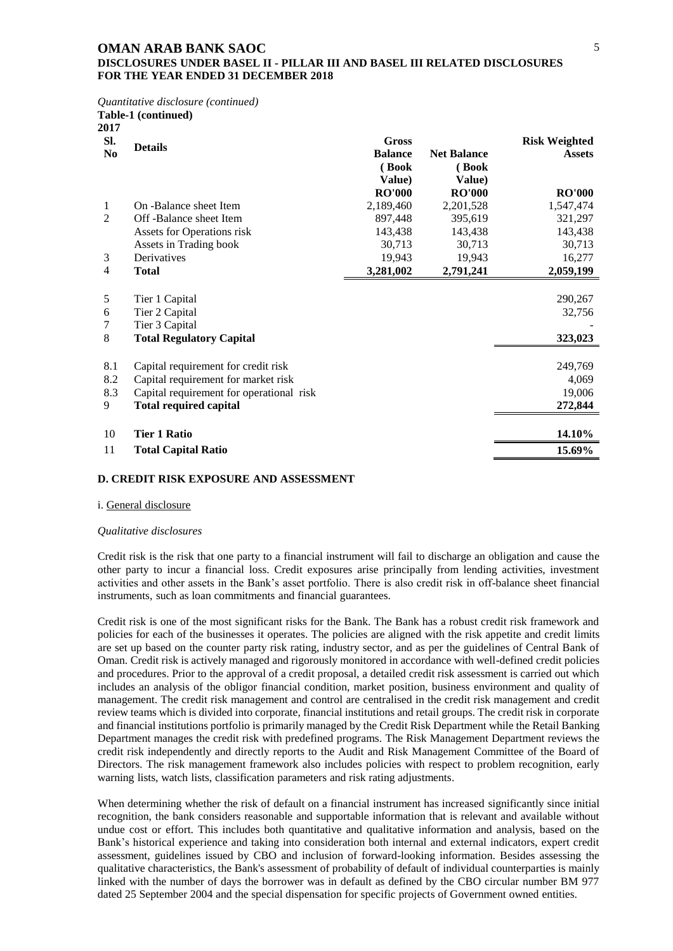### **DISCLOSURES UNDER BASEL II - PILLAR III AND BASEL III RELATED DISCLOSURES FOR THE YEAR ENDED 31 DECEMBER 2018**

*Quantitative disclosure (continued)* 

|                        | Table-1 (continued)                                                                                                                                     |                                                   |                                       |                                       |
|------------------------|---------------------------------------------------------------------------------------------------------------------------------------------------------|---------------------------------------------------|---------------------------------------|---------------------------------------|
| 2017<br>SI.<br>No      | <b>Details</b>                                                                                                                                          | <b>Gross</b><br><b>Balance</b><br>(Book<br>Value) | <b>Net Balance</b><br>(Book<br>Value) | <b>Risk Weighted</b><br><b>Assets</b> |
|                        |                                                                                                                                                         | <b>RO'000</b>                                     | <b>RO'000</b>                         | <b>RO'000</b>                         |
| 1                      | On -Balance sheet Item                                                                                                                                  | 2,189,460                                         | 2,201,528                             | 1,547,474                             |
| $\mathfrak{D}$         | Off-Balance sheet Item                                                                                                                                  | 897,448                                           | 395,619                               | 321,297                               |
|                        | Assets for Operations risk                                                                                                                              | 143,438                                           | 143,438                               | 143,438                               |
|                        | Assets in Trading book                                                                                                                                  | 30,713                                            | 30,713                                | 30,713                                |
| 3                      | Derivatives                                                                                                                                             | 19,943                                            | 19,943                                | 16,277                                |
| 4                      | <b>Total</b>                                                                                                                                            | 3,281,002                                         | 2,791,241                             | 2,059,199                             |
| 5<br>6<br>7<br>8       | Tier 1 Capital<br>Tier 2 Capital<br>Tier 3 Capital<br><b>Total Regulatory Capital</b>                                                                   |                                                   |                                       | 290,267<br>32,756<br>323,023          |
| 8.1<br>8.2<br>8.3<br>9 | Capital requirement for credit risk<br>Capital requirement for market risk<br>Capital requirement for operational risk<br><b>Total required capital</b> |                                                   |                                       | 249,769<br>4,069<br>19,006<br>272,844 |
| 10                     | Tier 1 Ratio                                                                                                                                            |                                                   |                                       | 14.10%                                |
| 11                     | <b>Total Capital Ratio</b>                                                                                                                              |                                                   |                                       | 15.69%                                |
|                        |                                                                                                                                                         |                                                   |                                       |                                       |

#### **D. CREDIT RISK EXPOSURE AND ASSESSMENT**

#### <span id="page-6-0"></span>i. General disclosure

#### *Qualitative disclosures*

Credit risk is the risk that one party to a financial instrument will fail to discharge an obligation and cause the other party to incur a financial loss. Credit exposures arise principally from lending activities, investment activities and other assets in the Bank's asset portfolio. There is also credit risk in off-balance sheet financial instruments, such as loan commitments and financial guarantees.

Credit risk is one of the most significant risks for the Bank. The Bank has a robust credit risk framework and policies for each of the businesses it operates. The policies are aligned with the risk appetite and credit limits are set up based on the counter party risk rating, industry sector, and as per the guidelines of Central Bank of Oman. Credit risk is actively managed and rigorously monitored in accordance with well-defined credit policies and procedures. Prior to the approval of a credit proposal, a detailed credit risk assessment is carried out which includes an analysis of the obligor financial condition, market position, business environment and quality of management. The credit risk management and control are centralised in the credit risk management and credit review teams which is divided into corporate, financial institutions and retail groups. The credit risk in corporate and financial institutions portfolio is primarily managed by the Credit Risk Department while the Retail Banking Department manages the credit risk with predefined programs. The Risk Management Department reviews the credit risk independently and directly reports to the Audit and Risk Management Committee of the Board of Directors. The risk management framework also includes policies with respect to problem recognition, early warning lists, watch lists, classification parameters and risk rating adjustments.

When determining whether the risk of default on a financial instrument has increased significantly since initial recognition, the bank considers reasonable and supportable information that is relevant and available without undue cost or effort. This includes both quantitative and qualitative information and analysis, based on the Bank's historical experience and taking into consideration both internal and external indicators, expert credit assessment, guidelines issued by CBO and inclusion of forward-looking information. Besides assessing the qualitative characteristics, the Bank's assessment of probability of default of individual counterparties is mainly linked with the number of days the borrower was in default as defined by the CBO circular number BM 977 dated 25 September 2004 and the special dispensation for specific projects of Government owned entities.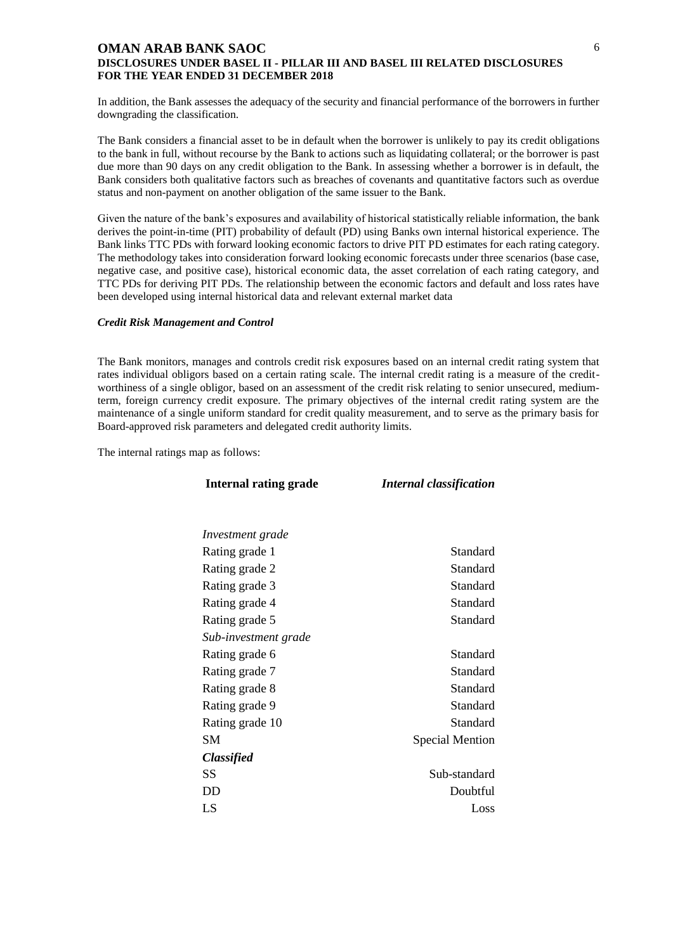In addition, the Bank assesses the adequacy of the security and financial performance of the borrowers in further downgrading the classification.

6

The Bank considers a financial asset to be in default when the borrower is unlikely to pay its credit obligations to the bank in full, without recourse by the Bank to actions such as liquidating collateral; or the borrower is past due more than 90 days on any credit obligation to the Bank. In assessing whether a borrower is in default, the Bank considers both qualitative factors such as breaches of covenants and quantitative factors such as overdue status and non-payment on another obligation of the same issuer to the Bank.

Given the nature of the bank's exposures and availability of historical statistically reliable information, the bank derives the point-in-time (PIT) probability of default (PD) using Banks own internal historical experience. The Bank links TTC PDs with forward looking economic factors to drive PIT PD estimates for each rating category. The methodology takes into consideration forward looking economic forecasts under three scenarios (base case, negative case, and positive case), historical economic data, the asset correlation of each rating category, and TTC PDs for deriving PIT PDs. The relationship between the economic factors and default and loss rates have been developed using internal historical data and relevant external market data

#### *Credit Risk Management and Control*

The Bank monitors, manages and controls credit risk exposures based on an internal credit rating system that rates individual obligors based on a certain rating scale. The internal credit rating is a measure of the creditworthiness of a single obligor, based on an assessment of the credit risk relating to senior unsecured, mediumterm, foreign currency credit exposure. The primary objectives of the internal credit rating system are the maintenance of a single uniform standard for credit quality measurement, and to serve as the primary basis for Board-approved risk parameters and delegated credit authority limits.

The internal ratings map as follows:

| <b>Internal rating grade</b> | <b>Internal classification</b> |
|------------------------------|--------------------------------|
|                              |                                |
| Investment grade             |                                |
| Rating grade 1               | Standard                       |
| Rating grade 2               | Standard                       |
| Rating grade 3               | Standard                       |
| Rating grade 4               | Standard                       |
| Rating grade 5               | Standard                       |
| Sub-investment grade         |                                |
| Rating grade 6               | Standard                       |
| Rating grade 7               | Standard                       |
| Rating grade 8               | Standard                       |
| Rating grade 9               | Standard                       |
| Rating grade 10              | Standard                       |
| <b>SM</b>                    | <b>Special Mention</b>         |
| <b>Classified</b>            |                                |
| SS                           | Sub-standard                   |
| DD                           | Doubtful                       |
| LS                           | Loss                           |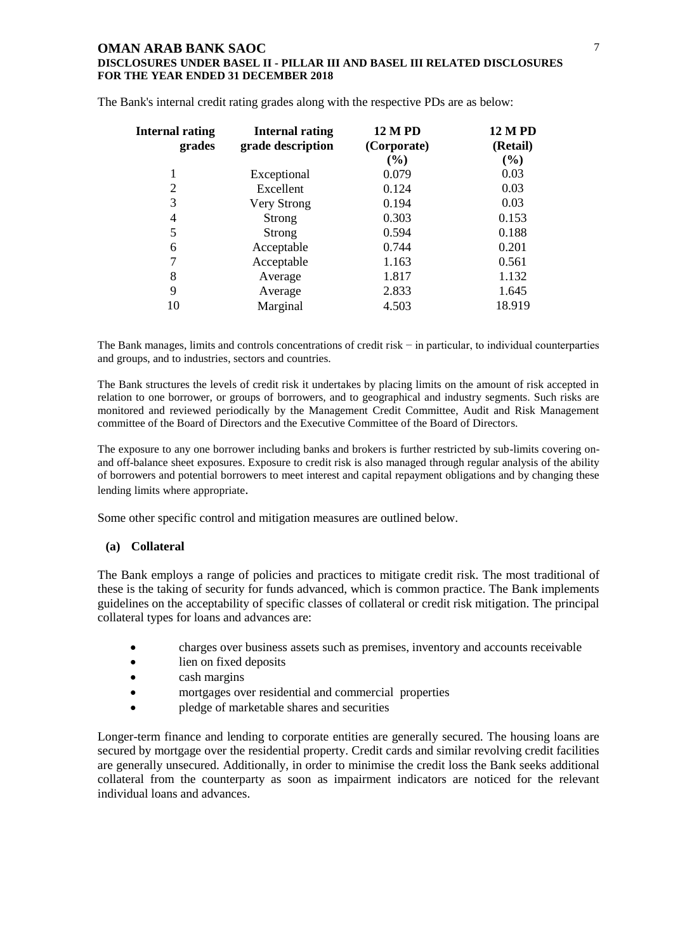| <b>Internal rating</b><br>grades | <b>Internal rating</b><br>grade description | <b>12 M PD</b><br>(Corporate) | <b>12 M PD</b><br>(Retail) |  |
|----------------------------------|---------------------------------------------|-------------------------------|----------------------------|--|
|                                  |                                             | (%)                           | (%)                        |  |
| 1                                | Exceptional                                 | 0.079                         | 0.03                       |  |
| $\overline{2}$                   | Excellent                                   | 0.124                         | 0.03                       |  |
| 3                                | Very Strong                                 | 0.194                         | 0.03                       |  |
| 4                                | Strong                                      | 0.303                         | 0.153                      |  |
| 5                                | Strong                                      | 0.594                         | 0.188                      |  |
| 6                                | Acceptable                                  | 0.744                         | 0.201                      |  |
| 7                                | Acceptable                                  | 1.163                         | 0.561                      |  |
| 8                                | Average                                     | 1.817                         | 1.132                      |  |
| 9                                | Average                                     | 2.833                         | 1.645                      |  |
| 10                               | Marginal                                    | 4.503                         | 18.919                     |  |

The Bank's internal credit rating grades along with the respective PDs are as below:

The Bank manages, limits and controls concentrations of credit risk – in particular, to individual counterparties and groups, and to industries, sectors and countries.

The Bank structures the levels of credit risk it undertakes by placing limits on the amount of risk accepted in relation to one borrower, or groups of borrowers, and to geographical and industry segments. Such risks are monitored and reviewed periodically by the Management Credit Committee, Audit and Risk Management committee of the Board of Directors and the Executive Committee of the Board of Directors.

The exposure to any one borrower including banks and brokers is further restricted by sub-limits covering onand off-balance sheet exposures. Exposure to credit risk is also managed through regular analysis of the ability of borrowers and potential borrowers to meet interest and capital repayment obligations and by changing these lending limits where appropriate.

Some other specific control and mitigation measures are outlined below.

## **(a) Collateral**

The Bank employs a range of policies and practices to mitigate credit risk. The most traditional of these is the taking of security for funds advanced, which is common practice. The Bank implements guidelines on the acceptability of specific classes of collateral or credit risk mitigation. The principal collateral types for loans and advances are:

- charges over business assets such as premises, inventory and accounts receivable
- lien on fixed deposits
- cash margins
- mortgages over residential and commercial properties
- pledge of marketable shares and securities

Longer-term finance and lending to corporate entities are generally secured. The housing loans are secured by mortgage over the residential property. Credit cards and similar revolving credit facilities are generally unsecured. Additionally, in order to minimise the credit loss the Bank seeks additional collateral from the counterparty as soon as impairment indicators are noticed for the relevant individual loans and advances.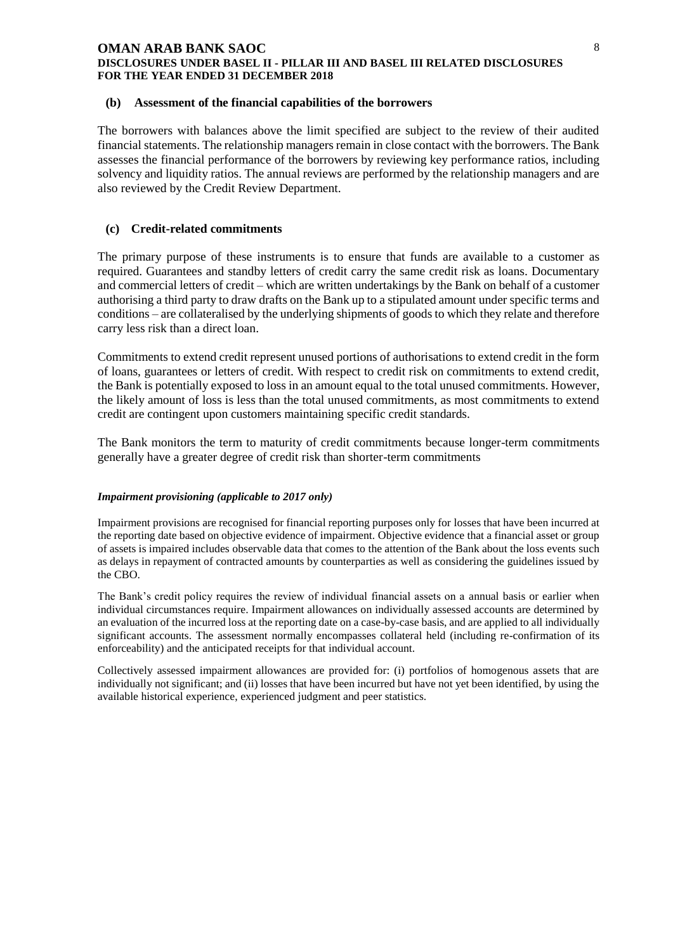#### **DISCLOSURES UNDER BASEL II - PILLAR III AND BASEL III RELATED DISCLOSURES FOR THE YEAR ENDED 31 DECEMBER 2018**

#### **(b) Assessment of the financial capabilities of the borrowers**

The borrowers with balances above the limit specified are subject to the review of their audited financial statements. The relationship managers remain in close contact with the borrowers. The Bank assesses the financial performance of the borrowers by reviewing key performance ratios, including solvency and liquidity ratios. The annual reviews are performed by the relationship managers and are also reviewed by the Credit Review Department.

### **(c) Credit-related commitments**

The primary purpose of these instruments is to ensure that funds are available to a customer as required. Guarantees and standby letters of credit carry the same credit risk as loans. Documentary and commercial letters of credit – which are written undertakings by the Bank on behalf of a customer authorising a third party to draw drafts on the Bank up to a stipulated amount under specific terms and conditions – are collateralised by the underlying shipments of goods to which they relate and therefore carry less risk than a direct loan.

Commitments to extend credit represent unused portions of authorisations to extend credit in the form of loans, guarantees or letters of credit. With respect to credit risk on commitments to extend credit, the Bank is potentially exposed to loss in an amount equal to the total unused commitments. However, the likely amount of loss is less than the total unused commitments, as most commitments to extend credit are contingent upon customers maintaining specific credit standards.

The Bank monitors the term to maturity of credit commitments because longer-term commitments generally have a greater degree of credit risk than shorter-term commitments

#### *Impairment provisioning (applicable to 2017 only)*

Impairment provisions are recognised for financial reporting purposes only for losses that have been incurred at the reporting date based on objective evidence of impairment. Objective evidence that a financial asset or group of assets is impaired includes observable data that comes to the attention of the Bank about the loss events such as delays in repayment of contracted amounts by counterparties as well as considering the guidelines issued by the CBO.

The Bank's credit policy requires the review of individual financial assets on a annual basis or earlier when individual circumstances require. Impairment allowances on individually assessed accounts are determined by an evaluation of the incurred loss at the reporting date on a case-by-case basis, and are applied to all individually significant accounts. The assessment normally encompasses collateral held (including re-confirmation of its enforceability) and the anticipated receipts for that individual account.

Collectively assessed impairment allowances are provided for: (i) portfolios of homogenous assets that are individually not significant; and (ii) losses that have been incurred but have not yet been identified, by using the available historical experience, experienced judgment and peer statistics.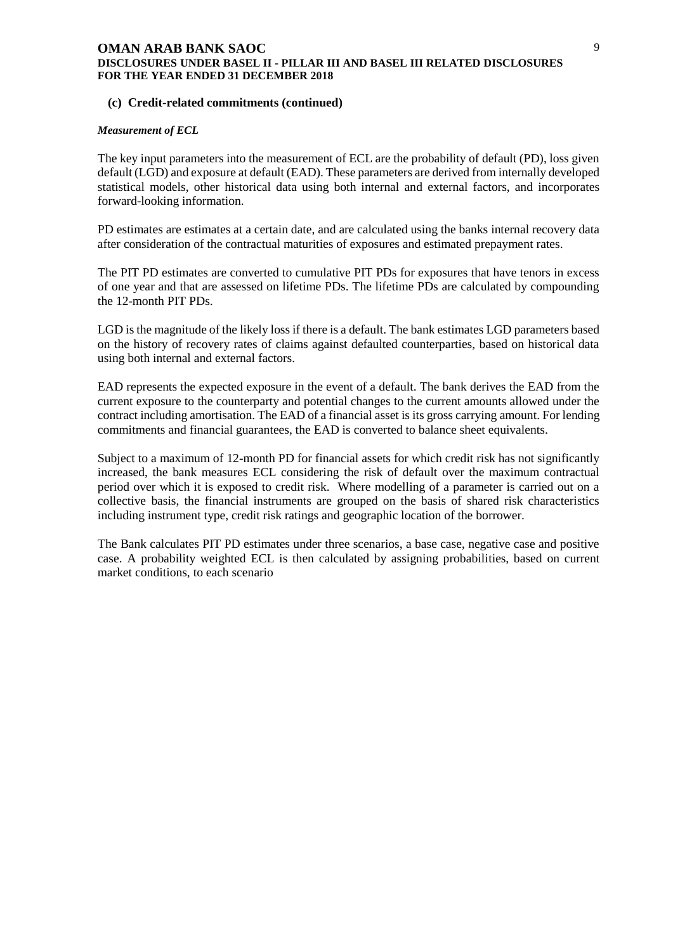#### **(c) Credit-related commitments (continued)**

#### *Measurement of ECL*

The key input parameters into the measurement of ECL are the probability of default (PD), loss given default (LGD) and exposure at default (EAD). These parameters are derived from internally developed statistical models, other historical data using both internal and external factors, and incorporates forward-looking information.

PD estimates are estimates at a certain date, and are calculated using the banks internal recovery data after consideration of the contractual maturities of exposures and estimated prepayment rates.

The PIT PD estimates are converted to cumulative PIT PDs for exposures that have tenors in excess of one year and that are assessed on lifetime PDs. The lifetime PDs are calculated by compounding the 12-month PIT PDs.

LGD is the magnitude of the likely loss if there is a default. The bank estimates LGD parameters based on the history of recovery rates of claims against defaulted counterparties, based on historical data using both internal and external factors.

EAD represents the expected exposure in the event of a default. The bank derives the EAD from the current exposure to the counterparty and potential changes to the current amounts allowed under the contract including amortisation. The EAD of a financial asset is its gross carrying amount. For lending commitments and financial guarantees, the EAD is converted to balance sheet equivalents.

Subject to a maximum of 12-month PD for financial assets for which credit risk has not significantly increased, the bank measures ECL considering the risk of default over the maximum contractual period over which it is exposed to credit risk. Where modelling of a parameter is carried out on a collective basis, the financial instruments are grouped on the basis of shared risk characteristics including instrument type, credit risk ratings and geographic location of the borrower.

The Bank calculates PIT PD estimates under three scenarios, a base case, negative case and positive case. A probability weighted ECL is then calculated by assigning probabilities, based on current market conditions, to each scenario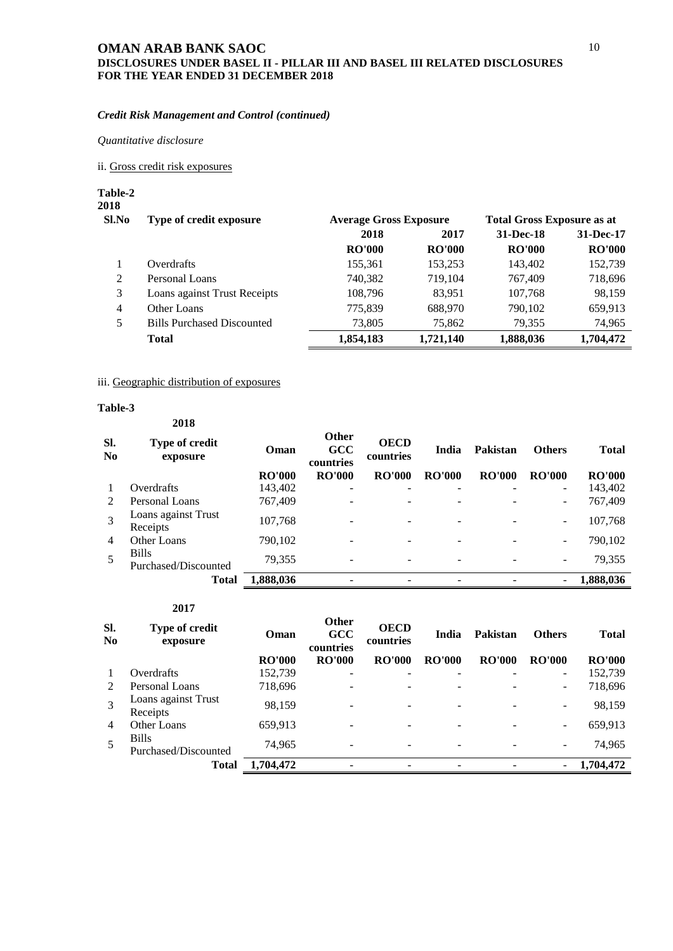#### *Credit Risk Management and Control (continued)*

*Quantitative disclosure*

<span id="page-11-0"></span>ii. Gross credit risk exposures

**Table-2 2018**

> **Sl.No Type of credit exposure Average Gross Exposure Total Gross Exposure as at 2018 2017 31-Dec-18 31-Dec-17 RO'000 RO'000 RO'000 RO'000** 1 Overdrafts 155,361 153,253 143,402 152,739 2 Personal Loans 740,382 719,104 767,409 718,696 3 Loans against Trust Receipts 108,796 83,951 107,768 98,159 4 Other Loans 775,839 688,970 790,102 659,913 5 Bills Purchased Discounted 73,805 75,862 79,355 74,965 **Total 1,854,183 1,721,140 1,888,036 1,704,472**

### iii. Geographic distribution of exposures

#### **Table-3**

|                | 2018                                 |               |                                  |                          |               |               |                          |               |
|----------------|--------------------------------------|---------------|----------------------------------|--------------------------|---------------|---------------|--------------------------|---------------|
| Sl.<br>No      | Type of credit<br>exposure           | Oman          | <b>Other</b><br>GCC<br>countries | <b>OECD</b><br>countries | India         | Pakistan      | <b>Others</b>            | <b>Total</b>  |
|                |                                      | <b>RO'000</b> | <b>RO'000</b>                    | <b>RO'000</b>            | <b>RO'000</b> | <b>RO'000</b> | <b>RO'000</b>            | <b>RO'000</b> |
| 1              | Overdrafts                           | 143,402       |                                  |                          |               |               | -                        | 143,402       |
| 2              | Personal Loans                       | 767,409       |                                  |                          |               |               | -                        | 767,409       |
| 3              | Loans against Trust<br>Receipts      | 107,768       |                                  |                          |               |               | $\overline{\phantom{0}}$ | 107,768       |
| $\overline{4}$ | Other Loans                          | 790,102       |                                  |                          |               |               | $\overline{\phantom{m}}$ | 790,102       |
| 5              | <b>Bills</b><br>Purchased/Discounted | 79,355        | -                                | $\overline{\phantom{0}}$ | ۰             |               | $\overline{\phantom{0}}$ | 79,355        |
|                | <b>Total</b>                         | 1,888,036     |                                  |                          |               |               | -                        | 1,888,036     |

| Sl.<br>No      | Type of credit<br>exposure           | Oman          | <b>Other</b><br><b>GCC</b><br>countries | <b>OECD</b><br>countries | India                    | Pakistan      | <b>Others</b>            | Total         |
|----------------|--------------------------------------|---------------|-----------------------------------------|--------------------------|--------------------------|---------------|--------------------------|---------------|
|                |                                      | <b>RO'000</b> | <b>RO'000</b>                           | <b>RO'000</b>            | <b>RO'000</b>            | <b>RO'000</b> | <b>RO'000</b>            | <b>RO'000</b> |
|                | Overdrafts                           | 152,739       | -                                       | -                        | $\qquad \qquad$          |               | $\overline{\phantom{0}}$ | 152,739       |
| $\mathcal{L}$  | Personal Loans                       | 718,696       |                                         |                          | $\overline{\phantom{0}}$ |               | $\overline{\phantom{a}}$ | 718,696       |
| 3              | Loans against Trust<br>Receipts      | 98,159        |                                         |                          | $\overline{\phantom{0}}$ |               | $\overline{\phantom{m}}$ | 98,159        |
| $\overline{4}$ | Other Loans                          | 659,913       |                                         |                          |                          |               | $\overline{\phantom{a}}$ | 659,913       |
| 5              | <b>Bills</b><br>Purchased/Discounted | 74,965        |                                         |                          | -                        |               | -                        | 74,965        |
|                | <b>Total</b>                         | 1,704,472     |                                         |                          | $\qquad \qquad$          |               | $\overline{\phantom{a}}$ | 1,704,472     |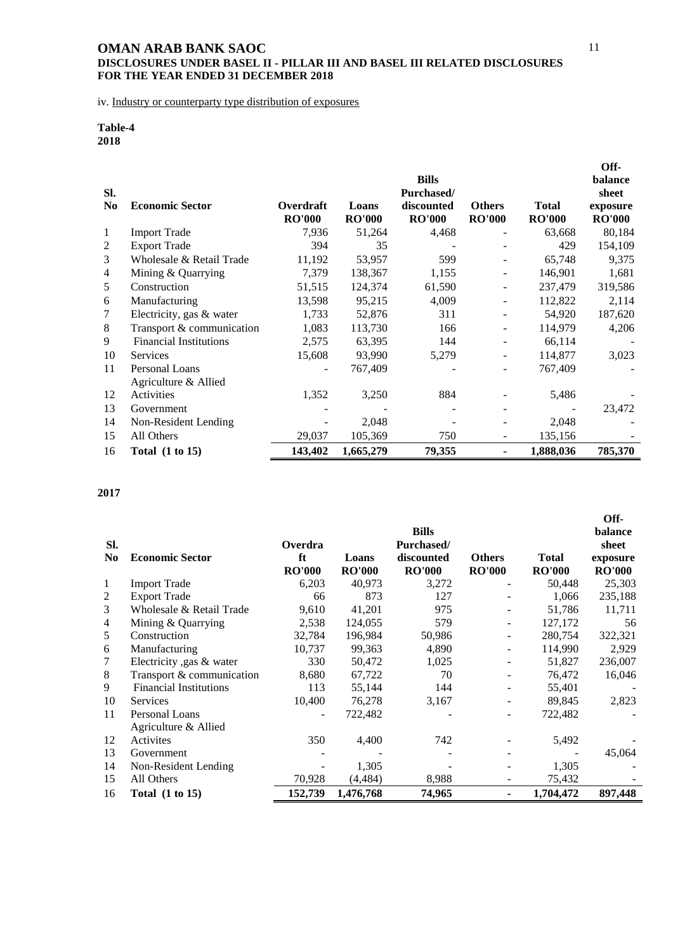iv. Industry or counterparty type distribution of exposures

## **Table-4 2018**

| SI.<br>N <sub>0</sub> | <b>Economic Sector</b>        | Overdraft<br><b>RO'000</b> | Loans<br><b>RO'000</b> | <b>Bills</b><br>Purchased/<br>discounted<br><b>RO'000</b> | <b>Others</b><br><b>RO'000</b> | <b>Total</b><br><b>RO'000</b> | Off-<br>balance<br>sheet<br>exposure<br><b>RO'000</b> |
|-----------------------|-------------------------------|----------------------------|------------------------|-----------------------------------------------------------|--------------------------------|-------------------------------|-------------------------------------------------------|
| 1                     | <b>Import Trade</b>           | 7,936                      | 51,264                 | 4,468                                                     |                                | 63,668                        | 80,184                                                |
| 2                     | <b>Export Trade</b>           | 394                        | 35                     |                                                           |                                | 429                           | 154,109                                               |
| 3                     | Wholesale & Retail Trade      | 11,192                     | 53,957                 | 599                                                       |                                | 65,748                        | 9,375                                                 |
| 4                     | Mining & Quarrying            | 7,379                      | 138,367                | 1,155                                                     |                                | 146,901                       | 1,681                                                 |
| 5                     | Construction                  | 51,515                     | 124,374                | 61,590                                                    |                                | 237,479                       | 319,586                                               |
| 6                     | Manufacturing                 | 13,598                     | 95,215                 | 4,009                                                     |                                | 112,822                       | 2,114                                                 |
| 7                     | Electricity, gas & water      | 1,733                      | 52,876                 | 311                                                       |                                | 54,920                        | 187,620                                               |
| 8                     | Transport & communication     | 1,083                      | 113,730                | 166                                                       |                                | 114,979                       | 4,206                                                 |
| 9                     | <b>Financial Institutions</b> | 2,575                      | 63,395                 | 144                                                       |                                | 66,114                        |                                                       |
| 10                    | <b>Services</b>               | 15,608                     | 93,990                 | 5,279                                                     |                                | 114,877                       | 3,023                                                 |
| 11                    | Personal Loans                |                            | 767,409                |                                                           |                                | 767,409                       |                                                       |
|                       | Agriculture & Allied          |                            |                        |                                                           |                                |                               |                                                       |
| 12                    | Activities                    | 1,352                      | 3,250                  | 884                                                       |                                | 5,486                         |                                                       |
| 13                    | Government                    |                            |                        |                                                           |                                |                               | 23,472                                                |
| 14                    | Non-Resident Lending          |                            | 2,048                  |                                                           |                                | 2,048                         |                                                       |
| 15                    | All Others                    | 29,037                     | 105,369                | 750                                                       |                                | 135,156                       |                                                       |
| 16                    | Total $(1 to 15)$             | 143,402                    | 1,665,279              | 79,355                                                    | ۰                              | 1,888,036                     | 785,370                                               |

|                |                               |               |               |                            |                          |               | Off-             |
|----------------|-------------------------------|---------------|---------------|----------------------------|--------------------------|---------------|------------------|
| SI.            |                               | Overdra       |               | <b>Bills</b><br>Purchased/ |                          |               | balance<br>sheet |
| No.            | <b>Economic Sector</b>        | ft            | Loans         | discounted                 | <b>Others</b>            | <b>Total</b>  | exposure         |
|                |                               | <b>RO'000</b> | <b>RO'000</b> | <b>RO'000</b>              | <b>RO'000</b>            | <b>RO'000</b> | <b>RO'000</b>    |
| 1              | <b>Import Trade</b>           | 6,203         | 40,973        | 3,272                      |                          | 50,448        | 25,303           |
| $\overline{2}$ | <b>Export Trade</b>           | 66            | 873           | 127                        |                          | 1,066         | 235,188          |
| 3              | Wholesale & Retail Trade      | 9,610         | 41,201        | 975                        |                          | 51,786        | 11,711           |
| 4              | Mining & Quarrying            | 2,538         | 124,055       | 579                        |                          | 127,172       | 56               |
| 5              | Construction                  | 32,784        | 196,984       | 50,986                     | $\overline{\phantom{a}}$ | 280,754       | 322,321          |
| 6              | Manufacturing                 | 10,737        | 99,363        | 4,890                      |                          | 114,990       | 2,929            |
| 7              | Electricity ,gas & water      | 330           | 50,472        | 1,025                      |                          | 51,827        | 236,007          |
| 8              | Transport & communication     | 8,680         | 67,722        | 70                         |                          | 76,472        | 16,046           |
| 9              | <b>Financial Institutions</b> | 113           | 55,144        | 144                        |                          | 55,401        |                  |
| 10             | <b>Services</b>               | 10,400        | 76,278        | 3,167                      |                          | 89,845        | 2,823            |
| 11             | Personal Loans                |               | 722,482       |                            |                          | 722,482       |                  |
|                | Agriculture & Allied          |               |               |                            |                          |               |                  |
| 12             | Activites                     | 350           | 4,400         | 742                        |                          | 5,492         |                  |
| 13             | Government                    |               |               |                            |                          |               | 45,064           |
| 14             | Non-Resident Lending          |               | 1,305         |                            |                          | 1,305         |                  |
| 15             | All Others                    | 70,928        | (4, 484)      | 8,988                      |                          | 75,432        |                  |
| 16             | Total $(1 to 15)$             | 152,739       | 1,476,768     | 74,965                     | $\blacksquare$           | 1,704,472     | 897,448          |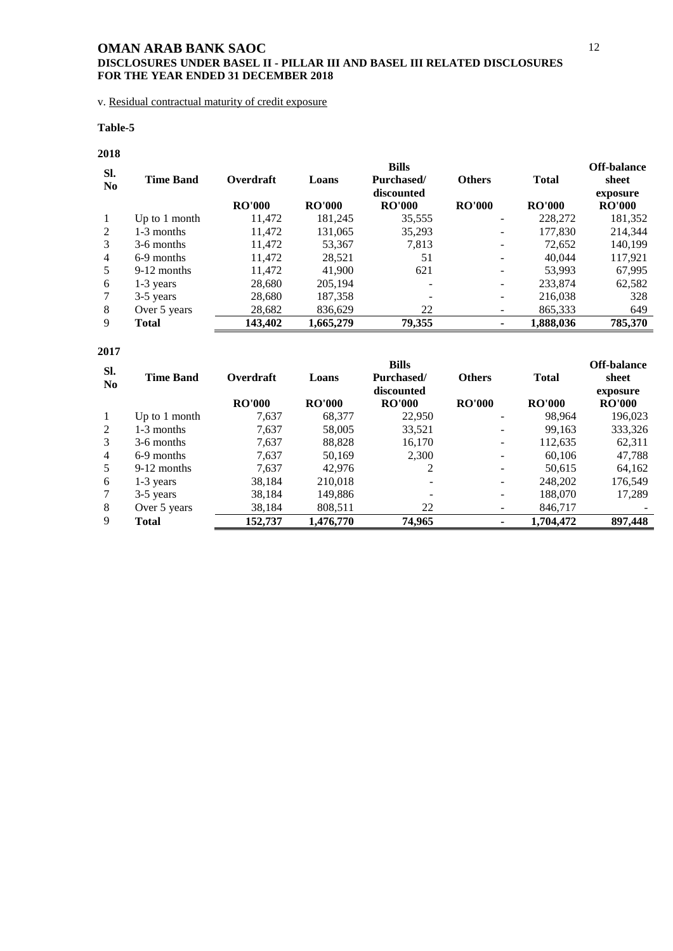## **DISCLOSURES UNDER BASEL II - PILLAR III AND BASEL III RELATED DISCLOSURES FOR THE YEAR ENDED 31 DECEMBER 2018**

v. Residual contractual maturity of credit exposure

### **Table-5**

## **2018**

| SI.            |                  |               |               | <b>Bills</b>      |               |               | <b>Off-balance</b> |
|----------------|------------------|---------------|---------------|-------------------|---------------|---------------|--------------------|
| N <sub>0</sub> | <b>Time Band</b> | Overdraft     | Loans         | Purchased/        | <b>Others</b> | <b>Total</b>  | sheet              |
|                |                  |               |               | discounted        |               |               | exposure           |
|                |                  | <b>RO'000</b> | <b>RO'000</b> | <b>RO'000</b>     | <b>RO'000</b> | <b>RO'000</b> | <b>RO'000</b>      |
| $\mathbf{1}$   | Up to $1$ month  | 11,472        | 181,245       | 35,555            |               | 228,272       | 181,352            |
| 2              | 1-3 months       | 11,472        | 131,065       | 35,293            |               | 177,830       | 214,344            |
| 3              | 3-6 months       | 11,472        | 53,367        | 7,813             | -             | 72,652        | 140,199            |
| $\overline{4}$ | 6-9 months       | 11,472        | 28,521        | 51                |               | 40,044        | 117,921            |
| 5              | 9-12 months      | 11.472        | 41,900        | 621               |               | 53.993        | 67,995             |
| 6              | 1-3 years        | 28,680        | 205,194       | $\qquad \qquad -$ | -             | 233,874       | 62,582             |
| 7              | 3-5 years        | 28,680        | 187,358       |                   | ۰             | 216,038       | 328                |
| 8              | Over 5 years     | 28,682        | 836,629       | 22                |               | 865,333       | 649                |
| 9              | Total            | 143,402       | 1,665,279     | 79,355            |               | 1,888,036     | 785,370            |

| SI.            |                  |               |               | <b>Bills</b>  |               |               | Off-balance   |
|----------------|------------------|---------------|---------------|---------------|---------------|---------------|---------------|
| N <sub>0</sub> | <b>Time Band</b> | Overdraft     | Loans         | Purchased/    | <b>Others</b> | <b>Total</b>  | sheet         |
|                |                  |               |               | discounted    |               |               | exposure      |
|                |                  | <b>RO'000</b> | <b>RO'000</b> | <b>RO'000</b> | <b>RO'000</b> | <b>RO'000</b> | <b>RO'000</b> |
| 1              | Up to $1$ month  | 7,637         | 68,377        | 22,950        |               | 98,964        | 196,023       |
| 2              | 1-3 months       | 7,637         | 58,005        | 33,521        |               | 99,163        | 333,326       |
| 3              | 3-6 months       | 7.637         | 88,828        | 16,170        |               | 112,635       | 62,311        |
| $\overline{4}$ | 6-9 months       | 7.637         | 50.169        | 2,300         |               | 60.106        | 47.788        |
| 5              | 9-12 months      | 7.637         | 42.976        | 2             |               | 50,615        | 64,162        |
| 6              | $1-3$ years      | 38,184        | 210,018       |               |               | 248,202       | 176,549       |
| 7              | 3-5 years        | 38,184        | 149,886       |               |               | 188,070       | 17,289        |
| 8              | Over 5 years     | 38,184        | 808,511       | 22            |               | 846,717       |               |
| 9              | <b>Total</b>     | 152,737       | 1,476,770     | 74,965        |               | 1,704,472     | 897,448       |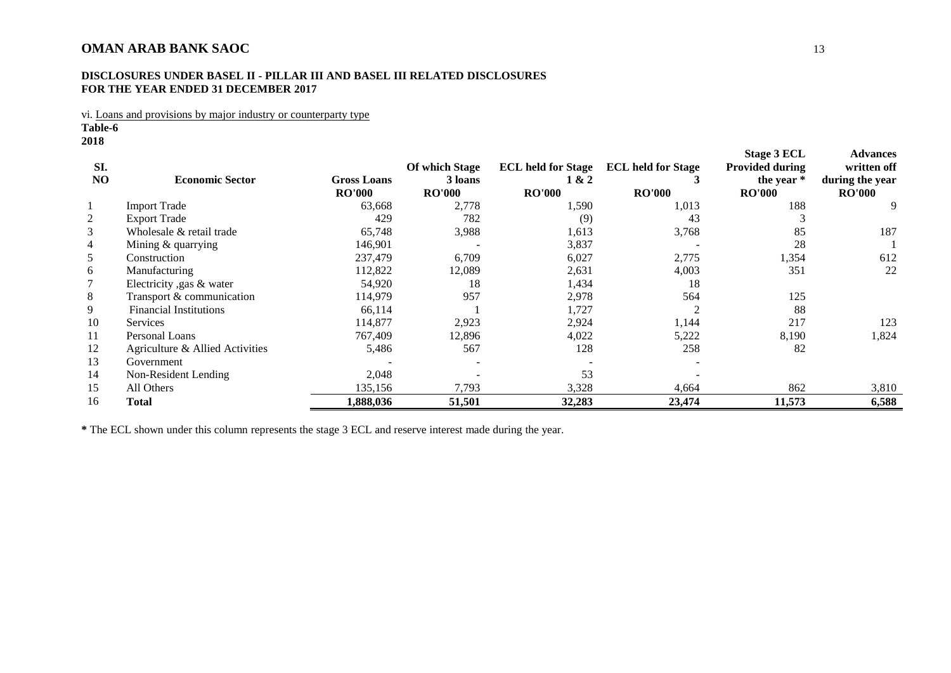### **DISCLOSURES UNDER BASEL II - PILLAR III AND BASEL III RELATED DISCLOSURES FOR THE YEAR ENDED 31 DECEMBER 2017**

vi. Loans and provisions by major industry or counterparty type

**Table-6**

**2018**

| SI.<br>NO | <b>Economic Sector</b>          | <b>Gross Loans</b><br><b>RO'000</b> | <b>Of which Stage</b><br>3 loans<br><b>RO'000</b> | <b>ECL held for Stage</b><br>1 & 2<br><b>RO'000</b> | <b>ECL held for Stage</b><br><b>RO'000</b> | Stage 3 ECL<br><b>Provided during</b><br>the year *<br><b>RO'000</b> | <b>Advances</b><br>written off<br>during the year<br><b>RO'000</b> |
|-----------|---------------------------------|-------------------------------------|---------------------------------------------------|-----------------------------------------------------|--------------------------------------------|----------------------------------------------------------------------|--------------------------------------------------------------------|
|           | <b>Import Trade</b>             | 63,668                              | 2,778                                             | 1,590                                               | 1,013                                      | 188                                                                  | 9                                                                  |
| 2         | <b>Export Trade</b>             | 429                                 | 782                                               | (9)                                                 | 43                                         |                                                                      |                                                                    |
| 3         | Wholesale & retail trade        | 65,748                              | 3,988                                             | 1,613                                               | 3,768                                      | 85                                                                   | 187                                                                |
| 4         | Mining & quarrying              | 146,901                             |                                                   | 3,837                                               |                                            | 28                                                                   |                                                                    |
| 5         | Construction                    | 237,479                             | 6,709                                             | 6,027                                               | 2,775                                      | 1,354                                                                | 612                                                                |
| 6         | Manufacturing                   | 112,822                             | 12,089                                            | 2,631                                               | 4,003                                      | 351                                                                  | 22                                                                 |
|           | Electricity , gas & water       | 54,920                              | 18                                                | 1,434                                               | 18                                         |                                                                      |                                                                    |
| 8         | Transport & communication       | 114,979                             | 957                                               | 2,978                                               | 564                                        | 125                                                                  |                                                                    |
| 9         | <b>Financial Institutions</b>   | 66,114                              |                                                   | 1,727                                               |                                            | 88                                                                   |                                                                    |
| 10        | <b>Services</b>                 | 114,877                             | 2,923                                             | 2,924                                               | 1,144                                      | 217                                                                  | 123                                                                |
| 11        | Personal Loans                  | 767,409                             | 12,896                                            | 4,022                                               | 5,222                                      | 8,190                                                                | 1,824                                                              |
| 12        | Agriculture & Allied Activities | 5,486                               | 567                                               | 128                                                 | 258                                        | 82                                                                   |                                                                    |
| 13        | Government                      |                                     |                                                   |                                                     |                                            |                                                                      |                                                                    |
| 14        | Non-Resident Lending            | 2,048                               |                                                   | 53                                                  |                                            |                                                                      |                                                                    |
| 15        | All Others                      | 135,156                             | 7,793                                             | 3,328                                               | 4,664                                      | 862                                                                  | 3,810                                                              |
| 16        | <b>Total</b>                    | 1,888,036                           | 51,501                                            | 32,283                                              | 23,474                                     | 11,573                                                               | 6,588                                                              |

<span id="page-14-0"></span>**\*** The ECL shown under this column represents the stage 3 ECL and reserve interest made during the year.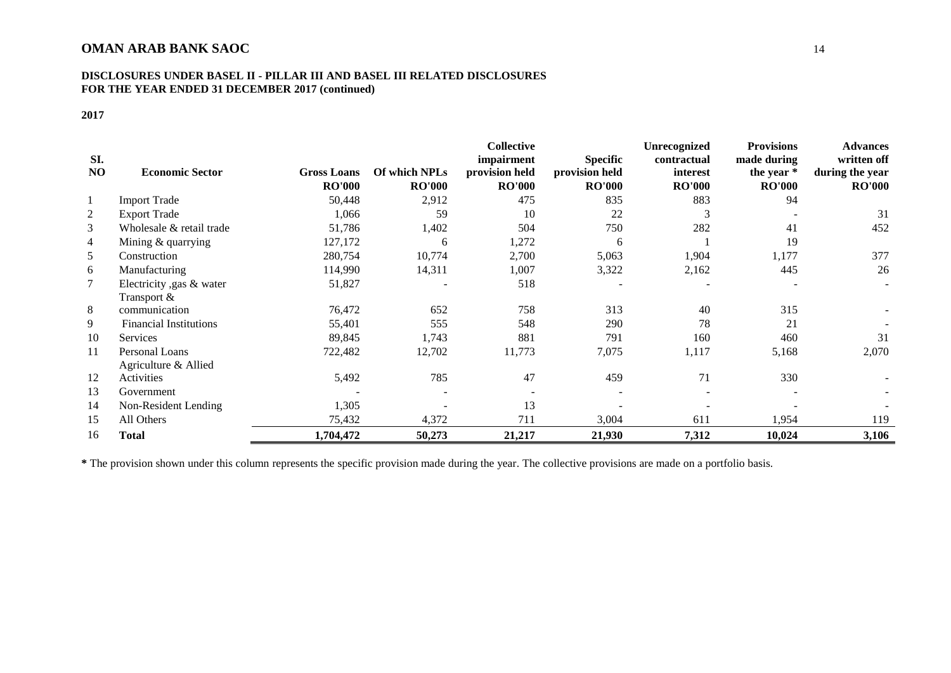#### **DISCLOSURES UNDER BASEL II - PILLAR III AND BASEL III RELATED DISCLOSURES FOR THE YEAR ENDED 31 DECEMBER 2017 (continued)**

## **2017**

|           |                               |                    |               | <b>Collective</b>            |                                   | <b>Unrecognized</b>     | <b>Provisions</b>             | <b>Advances</b>                |
|-----------|-------------------------------|--------------------|---------------|------------------------------|-----------------------------------|-------------------------|-------------------------------|--------------------------------|
| SI.<br>NO | <b>Economic Sector</b>        | <b>Gross Loans</b> | Of which NPLs | impairment<br>provision held | <b>Specific</b><br>provision held | contractual<br>interest | made during                   | written off<br>during the year |
|           |                               | <b>RO'000</b>      | <b>RO'000</b> | <b>RO'000</b>                | <b>RO'000</b>                     | <b>RO'000</b>           | the year $*$<br><b>RO'000</b> | <b>RO'000</b>                  |
| -1        | <b>Import Trade</b>           | 50,448             | 2,912         | 475                          | 835                               | 883                     | 94                            |                                |
| 2         | <b>Export Trade</b>           | 1,066              | 59            | 10                           | 22                                | 3                       |                               | 31                             |
| 3         | Wholesale & retail trade      | 51,786             | 1,402         | 504                          | 750                               | 282                     | 41                            | 452                            |
| 4         | Mining & quarrying            | 127,172            | 6             | 1,272                        | 6                                 |                         | 19                            |                                |
| 5         | Construction                  | 280,754            | 10,774        | 2,700                        | 5,063                             | 1,904                   | 1,177                         | 377                            |
| 6         | Manufacturing                 | 114,990            | 14,311        | 1,007                        | 3,322                             | 2,162                   | 445                           | 26                             |
| 7         | Electricity , gas & water     | 51,827             |               | 518                          |                                   |                         |                               |                                |
|           | Transport &                   |                    |               |                              |                                   |                         |                               |                                |
| 8         | communication                 | 76,472             | 652           | 758                          | 313                               | 40                      | 315                           |                                |
| 9         | <b>Financial Institutions</b> | 55,401             | 555           | 548                          | 290                               | 78                      | 21                            |                                |
| 10        | <b>Services</b>               | 89,845             | 1,743         | 881                          | 791                               | 160                     | 460                           | 31                             |
| 11        | Personal Loans                | 722,482            | 12,702        | 11,773                       | 7,075                             | 1,117                   | 5,168                         | 2,070                          |
|           | Agriculture & Allied          |                    |               |                              |                                   |                         |                               |                                |
| 12        | Activities                    | 5,492              | 785           | 47                           | 459                               | 71                      | 330                           |                                |
| 13        | Government                    |                    |               |                              |                                   |                         |                               |                                |
| 14        | Non-Resident Lending          | 1,305              |               | 13                           |                                   |                         |                               |                                |
| 15        | All Others                    | 75,432             | 4,372         | 711                          | 3,004                             | 611                     | 1,954                         | 119                            |
| 16        | Total                         | 1,704,472          | 50,273        | 21,217                       | 21,930                            | 7,312                   | 10,024                        | 3,106                          |

**\*** The provision shown under this column represents the specific provision made during the year. The collective provisions are made on a portfolio basis.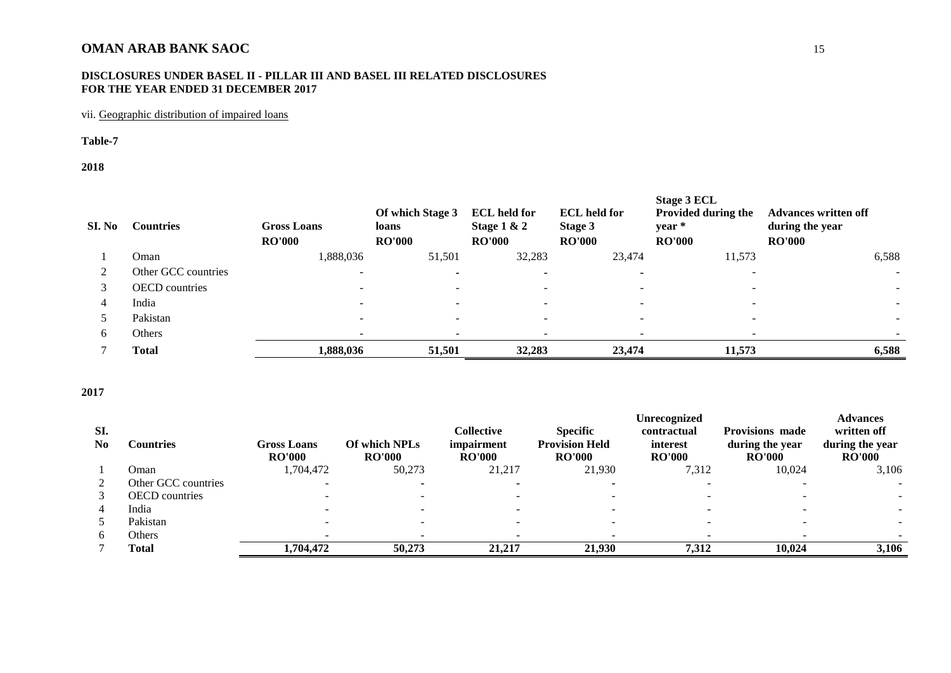### **DISCLOSURES UNDER BASEL II - PILLAR III AND BASEL III RELATED DISCLOSURES FOR THE YEAR ENDED 31 DECEMBER 2017**

## vii. Geographic distribution of impaired loans

#### **Table-7**

#### **2018**

| SI. No | <b>Countries</b>      | <b>Gross Loans</b><br><b>RO'000</b> | Of which Stage 3<br>loans<br><b>RO'000</b> | <b>ECL</b> held for<br>Stage $1 & 2$<br><b>RO'000</b> | <b>ECL</b> held for<br>Stage 3<br><b>RO'000</b> | Stage 3 ECL<br><b>Provided during the</b><br>year *<br><b>RO'000</b> | <b>Advances written off</b><br>during the year<br><b>RO'000</b> |
|--------|-----------------------|-------------------------------------|--------------------------------------------|-------------------------------------------------------|-------------------------------------------------|----------------------------------------------------------------------|-----------------------------------------------------------------|
|        | Oman                  | 1,888,036                           | 51,501                                     | 32,283                                                | 23,474                                          | 11,573                                                               | 6,588                                                           |
|        | Other GCC countries   |                                     |                                            |                                                       | $\overline{\phantom{a}}$                        |                                                                      |                                                                 |
|        | <b>OECD</b> countries |                                     |                                            |                                                       |                                                 |                                                                      |                                                                 |
| 4      | India                 |                                     |                                            |                                                       |                                                 |                                                                      |                                                                 |
|        | Pakistan              | -                                   |                                            |                                                       |                                                 |                                                                      |                                                                 |
| 6      | <b>Others</b>         |                                     |                                            |                                                       |                                                 |                                                                      |                                                                 |
|        | <b>Total</b>          | 1,888,036                           | 51,501                                     | 32,283                                                | 23,474                                          | 11,573                                                               | 6,588                                                           |

<span id="page-16-0"></span>

|                |                       |                    |               |               |                       | Unrecognized  |                        | <b>Advances</b> |
|----------------|-----------------------|--------------------|---------------|---------------|-----------------------|---------------|------------------------|-----------------|
| SI.            |                       |                    |               | Collective    | <b>Specific</b>       | contractual   | <b>Provisions made</b> | written off     |
| N <sub>0</sub> | Countries             | <b>Gross Loans</b> | Of which NPLs | impairment    | <b>Provision Held</b> | interest      | during the year        | during the year |
|                |                       | <b>RO'000</b>      | <b>RO'000</b> | <b>RO'000</b> | <b>RO'000</b>         | <b>RO'000</b> | <b>RO'000</b>          | <b>RO'000</b>   |
|                | Oman                  | 1,704,472          | 50,273        | 21,217        | 21,930                | 7,312         | 10,024                 | 3,106           |
| 2              | Other GCC countries   |                    |               |               |                       |               |                        |                 |
|                | <b>OECD</b> countries |                    |               |               |                       |               |                        |                 |
| $\overline{4}$ | India                 |                    |               |               |                       |               |                        |                 |
|                | Pakistan              |                    |               |               |                       |               |                        |                 |
| <sub>0</sub>   | Others                |                    |               |               |                       |               |                        |                 |
|                | <b>Total</b>          | 1.704.472          | 50,273        | 21,217        | 21.930                | 7,312         | 10.024                 | 3,106           |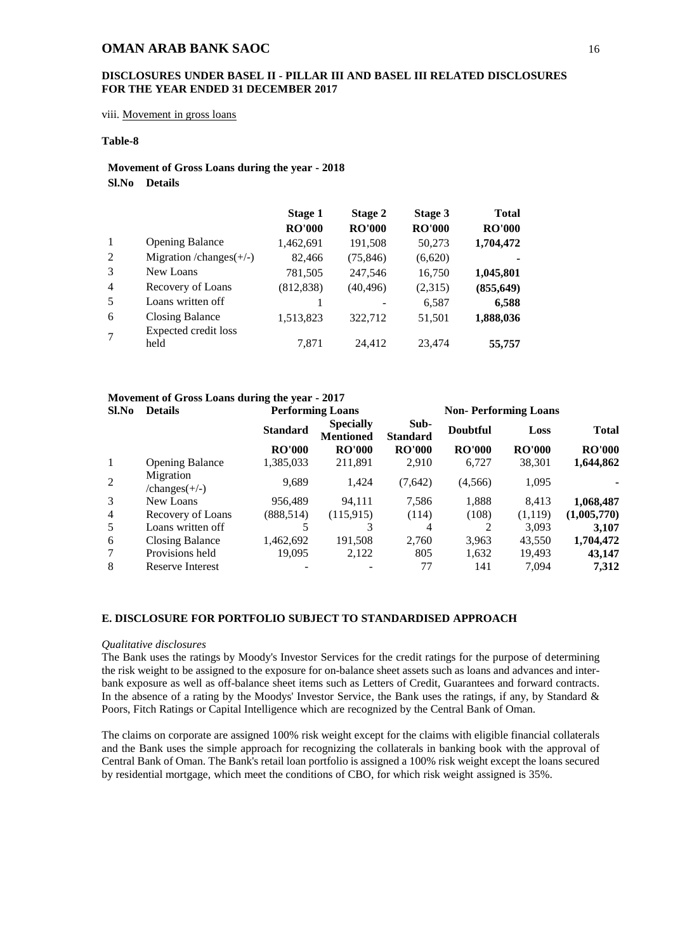#### **DISCLOSURES UNDER BASEL II - PILLAR III AND BASEL III RELATED DISCLOSURES FOR THE YEAR ENDED 31 DECEMBER 2017**

<span id="page-17-0"></span>viii. Movement in gross loans

#### **Table-8**

### **Movement of Gross Loans during the year - 2018 Sl.No Details**

|                |                                                | Stage 1<br><b>RO'000</b> | Stage 2<br><b>RO'000</b> | Stage 3<br><b>RO'000</b> | <b>Total</b><br><b>RO'000</b> |
|----------------|------------------------------------------------|--------------------------|--------------------------|--------------------------|-------------------------------|
| -1             | <b>Opening Balance</b>                         | 1,462,691                | 191,508                  | 50,273                   | 1,704,472                     |
| 2              | Migration / $change$ (+/-)                     | 82,466                   | (75, 846)                | (6,620)                  |                               |
| 3              | New Loans                                      | 781,505                  | 247,546                  | 16,750                   | 1,045,801                     |
| $\overline{4}$ | Recovery of Loans                              | (812, 838)               | (40, 496)                | (2,315)                  | (855, 649)                    |
| 5              | Loans written off                              |                          |                          | 6,587                    | 6,588                         |
| 6              | <b>Closing Balance</b><br>Expected credit loss | 1,513,823                | 322,712                  | 51,501                   | 1,888,036                     |
| $\overline{7}$ | held                                           | 7.871                    | 24.412                   | 23,474                   | 55,757                        |

## **Movement of Gross Loans during the year - 2017**

| <b>Details</b>               |                 |                                      |                         | <b>Non-Performing Loans</b> |               |               |  |
|------------------------------|-----------------|--------------------------------------|-------------------------|-----------------------------|---------------|---------------|--|
|                              | <b>Standard</b> | <b>Specially</b><br><b>Mentioned</b> | Sub-<br><b>Standard</b> | <b>Doubtful</b>             | Loss          | <b>Total</b>  |  |
|                              | <b>RO'000</b>   | <b>RO'000</b>                        | <b>RO'000</b>           | <b>RO'000</b>               | <b>RO'000</b> | <b>RO'000</b> |  |
| <b>Opening Balance</b>       | 1,385,033       | 211,891                              | 2,910                   | 6,727                       | 38,301        | 1,644,862     |  |
| Migration<br>$/changes(+/-)$ | 9,689           | 1,424                                | (7,642)                 | (4, 566)                    | 1,095         |               |  |
| New Loans                    | 956,489         | 94,111                               | 7,586                   | 1,888                       | 8,413         | 1,068,487     |  |
| Recovery of Loans            | (888, 514)      | (115, 915)                           | (114)                   | (108)                       | (1,119)       | (1,005,770)   |  |
| Loans written off            |                 | 3                                    | 4                       |                             | 3,093         | 3,107         |  |
| Closing Balance              | 1,462,692       | 191,508                              | 2,760                   | 3,963                       | 43,550        | 1,704,472     |  |
| Provisions held              | 19,095          | 2,122                                | 805                     | 1,632                       | 19,493        | 43,147        |  |
| Reserve Interest             |                 |                                      | 77                      | 141                         | 7.094         | 7,312         |  |
|                              |                 |                                      | <b>Performing Loans</b> |                             |               |               |  |

#### <span id="page-17-1"></span>**E. DISCLOSURE FOR PORTFOLIO SUBJECT TO STANDARDISED APPROACH**

#### *Qualitative disclosures*

The Bank uses the ratings by Moody's Investor Services for the credit ratings for the purpose of determining the risk weight to be assigned to the exposure for on-balance sheet assets such as loans and advances and interbank exposure as well as off-balance sheet items such as Letters of Credit, Guarantees and forward contracts. In the absence of a rating by the Moodys' Investor Service, the Bank uses the ratings, if any, by Standard & Poors, Fitch Ratings or Capital Intelligence which are recognized by the Central Bank of Oman.

The claims on corporate are assigned 100% risk weight except for the claims with eligible financial collaterals and the Bank uses the simple approach for recognizing the collaterals in banking book with the approval of Central Bank of Oman. The Bank's retail loan portfolio is assigned a 100% risk weight except the loans secured by residential mortgage, which meet the conditions of CBO, for which risk weight assigned is 35%.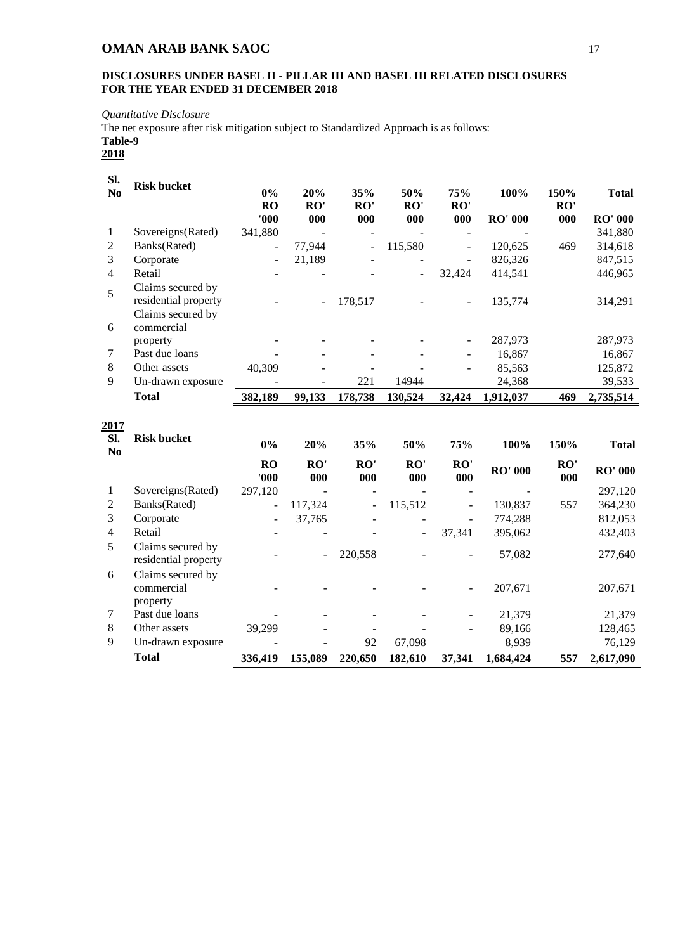## **DISCLOSURES UNDER BASEL II - PILLAR III AND BASEL III RELATED DISCLOSURES FOR THE YEAR ENDED 31 DECEMBER 2018**

*Quantitative Disclosure*

The net exposure after risk mitigation subject to Standardized Approach is as follows:

**Table-9**

<span id="page-18-0"></span>

| SI.<br>N <sub>o</sub> | <b>Risk bucket</b>                        | 0%<br><b>RO</b> | 20%<br>RO' | 35%<br>RO'     | 50%<br>RO'     | 75%<br>RO' | 100%            | 150%<br>RO' | <b>Total</b>      |
|-----------------------|-------------------------------------------|-----------------|------------|----------------|----------------|------------|-----------------|-------------|-------------------|
|                       |                                           | '000            | 000        | 000            | 000            | 000        | <b>RO' 000</b>  | 000         | <b>RO' 000</b>    |
| 1                     | Sovereigns(Rated)                         | 341,880         |            |                | ÷.             |            |                 |             | 341,880           |
| 2                     | Banks(Rated)                              | $\overline{a}$  | 77,944     | $\overline{a}$ | 115,580        |            | 120,625         | 469         | 314,618           |
| 3                     | Corporate                                 | $\overline{a}$  | 21,189     |                |                |            | 826,326         |             | 847,515           |
| $\overline{4}$        | Retail                                    |                 |            |                | $\overline{a}$ | 32,424     | 414,541         |             | 446,965           |
| $\sqrt{5}$            | Claims secured by                         |                 |            |                |                |            |                 |             |                   |
|                       | residential property                      |                 |            | 178,517        |                |            | 135,774         |             | 314,291           |
|                       | Claims secured by                         |                 |            |                |                |            |                 |             |                   |
| 6                     | commercial                                |                 |            |                |                |            |                 |             |                   |
|                       | property                                  |                 |            |                |                |            | 287,973         |             | 287,973           |
| 7                     | Past due loans                            |                 |            |                |                |            | 16,867          |             | 16,867            |
| $\,8\,$               | Other assets                              | 40,309          |            |                |                |            | 85,563          |             | 125,872           |
| 9                     | Un-drawn exposure                         |                 |            | 221            | 14944          |            | 24,368          |             | 39,533            |
|                       | <b>Total</b>                              | 382,189         | 99,133     | 178,738        | 130,524        | 32,424     | 1,912,037       | 469         | 2,735,514         |
|                       |                                           |                 |            |                |                |            |                 |             |                   |
| 2017<br>SI.           | <b>Risk bucket</b>                        |                 |            |                |                |            |                 |             |                   |
| N <sub>o</sub>        |                                           | 0%              | 20%        | 35%            | 50%            | 75%        | 100%            | 150%        | <b>Total</b>      |
|                       |                                           | RO<br>'000'     | RO'<br>000 | RO'            | RO'            | RO'        | <b>RO' 000</b>  | RO'         | <b>RO' 000</b>    |
| 1                     | Sovereigns(Rated)                         |                 |            | 000            | 000            | 000        |                 | 000         |                   |
|                       |                                           | 297,120         |            |                |                |            |                 |             | 297,120           |
| $\overline{c}$        | Banks(Rated)                              | ÷,              | 117,324    |                | 115,512        |            | 130,837         | 557         | 364,230           |
| 3                     | Corporate                                 |                 | 37,765     |                |                |            | 774,288         |             | 812,053           |
| $\overline{4}$        | Retail                                    |                 |            |                |                | 37,341     | 395,062         |             | 432,403           |
| 5                     | Claims secured by<br>residential property |                 |            | 220,558        |                |            | 57,082          |             | 277,640           |
| 6                     |                                           |                 |            |                |                |            |                 |             |                   |
|                       | Claims secured by<br>commercial           |                 |            |                |                |            | 207,671         |             | 207,671           |
| 7                     | property<br>Past due loans                |                 |            |                |                |            |                 |             |                   |
| 8                     | Other assets                              |                 |            |                |                |            | 21,379          |             | 21,379            |
| 9                     | Un-drawn exposure                         | 39,299          |            | 92             | 67,098         |            | 89,166<br>8,939 |             | 128,465<br>76,129 |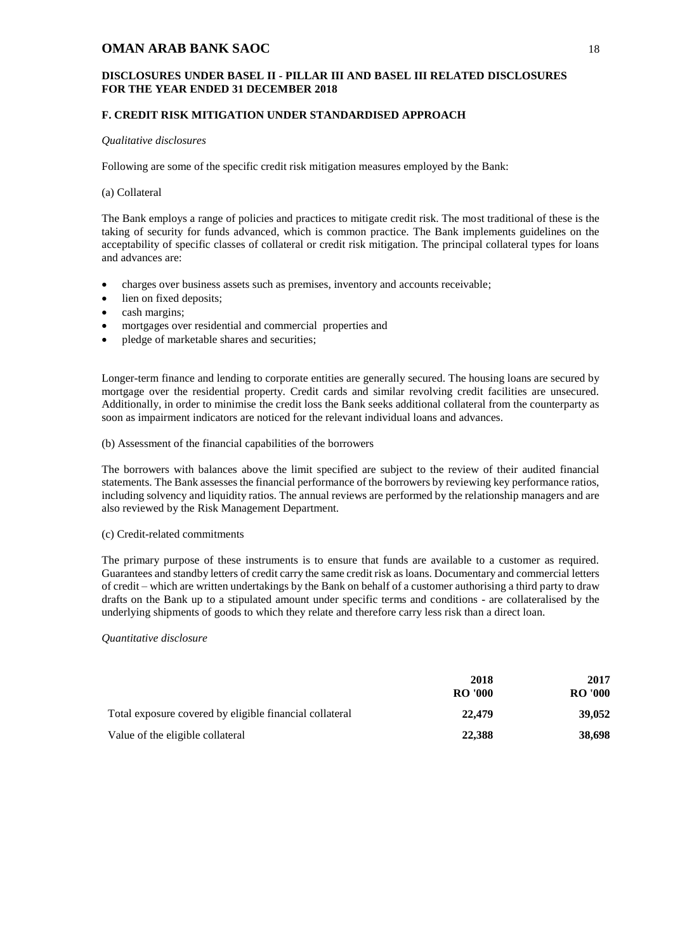#### **DISCLOSURES UNDER BASEL II - PILLAR III AND BASEL III RELATED DISCLOSURES FOR THE YEAR ENDED 31 DECEMBER 2018**

#### **F. CREDIT RISK MITIGATION UNDER STANDARDISED APPROACH**

#### *Qualitative disclosures*

Following are some of the specific credit risk mitigation measures employed by the Bank:

#### (a) Collateral

The Bank employs a range of policies and practices to mitigate credit risk. The most traditional of these is the taking of security for funds advanced, which is common practice. The Bank implements guidelines on the acceptability of specific classes of collateral or credit risk mitigation. The principal collateral types for loans and advances are:

- charges over business assets such as premises, inventory and accounts receivable;
- lien on fixed deposits;
- cash margins;
- mortgages over residential and commercial properties and
- pledge of marketable shares and securities;

Longer-term finance and lending to corporate entities are generally secured. The housing loans are secured by mortgage over the residential property. Credit cards and similar revolving credit facilities are unsecured. Additionally, in order to minimise the credit loss the Bank seeks additional collateral from the counterparty as soon as impairment indicators are noticed for the relevant individual loans and advances.

#### (b) Assessment of the financial capabilities of the borrowers

The borrowers with balances above the limit specified are subject to the review of their audited financial statements. The Bank assesses the financial performance of the borrowers by reviewing key performance ratios, including solvency and liquidity ratios. The annual reviews are performed by the relationship managers and are also reviewed by the Risk Management Department.

#### (c) Credit-related commitments

The primary purpose of these instruments is to ensure that funds are available to a customer as required. Guarantees and standby letters of credit carry the same credit risk as loans. Documentary and commercial letters of credit – which are written undertakings by the Bank on behalf of a customer authorising a third party to draw drafts on the Bank up to a stipulated amount under specific terms and conditions - are collateralised by the underlying shipments of goods to which they relate and therefore carry less risk than a direct loan.

#### *Quantitative disclosure*

|                                                         | 2018           | 2017           |  |
|---------------------------------------------------------|----------------|----------------|--|
|                                                         | <b>RO</b> '000 | <b>RO</b> '000 |  |
| Total exposure covered by eligible financial collateral | 22,479         | 39,052         |  |
| Value of the eligible collateral                        | 22,388         | 38,698         |  |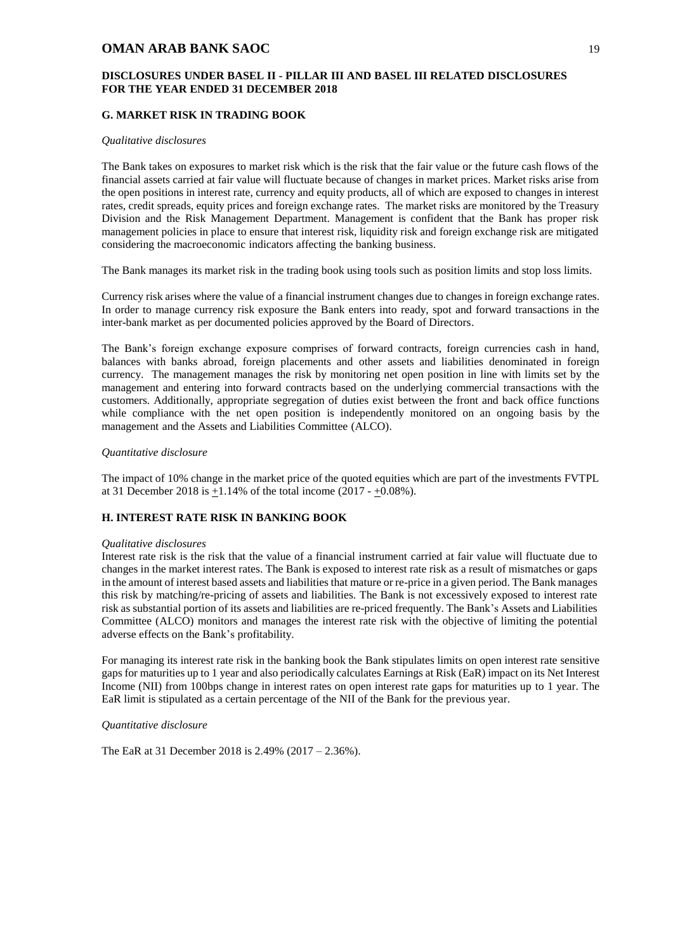#### **DISCLOSURES UNDER BASEL II - PILLAR III AND BASEL III RELATED DISCLOSURES FOR THE YEAR ENDED 31 DECEMBER 2018**

#### <span id="page-20-0"></span>**G. MARKET RISK IN TRADING BOOK**

#### *Qualitative disclosures*

The Bank takes on exposures to market risk which is the risk that the fair value or the future cash flows of the financial assets carried at fair value will fluctuate because of changes in market prices. Market risks arise from the open positions in interest rate, currency and equity products, all of which are exposed to changes in interest rates, credit spreads, equity prices and foreign exchange rates. The market risks are monitored by the Treasury Division and the Risk Management Department. Management is confident that the Bank has proper risk management policies in place to ensure that interest risk, liquidity risk and foreign exchange risk are mitigated considering the macroeconomic indicators affecting the banking business.

The Bank manages its market risk in the trading book using tools such as position limits and stop loss limits.

Currency risk arises where the value of a financial instrument changes due to changes in foreign exchange rates. In order to manage currency risk exposure the Bank enters into ready, spot and forward transactions in the inter-bank market as per documented policies approved by the Board of Directors.

The Bank's foreign exchange exposure comprises of forward contracts, foreign currencies cash in hand, balances with banks abroad, foreign placements and other assets and liabilities denominated in foreign currency. The management manages the risk by monitoring net open position in line with limits set by the management and entering into forward contracts based on the underlying commercial transactions with the customers. Additionally, appropriate segregation of duties exist between the front and back office functions while compliance with the net open position is independently monitored on an ongoing basis by the management and the Assets and Liabilities Committee (ALCO).

#### *Quantitative disclosure*

The impact of 10% change in the market price of the quoted equities which are part of the investments FVTPL at 31 December 2018 is  $+1.14\%$  of the total income (2017 -  $+0.08\%$ ).

#### <span id="page-20-1"></span>**H. INTEREST RATE RISK IN BANKING BOOK**

#### *Qualitative disclosures*

Interest rate risk is the risk that the value of a financial instrument carried at fair value will fluctuate due to changes in the market interest rates. The Bank is exposed to interest rate risk as a result of mismatches or gaps in the amount of interest based assets and liabilities that mature or re-price in a given period. The Bank manages this risk by matching/re-pricing of assets and liabilities. The Bank is not excessively exposed to interest rate risk as substantial portion of its assets and liabilities are re-priced frequently. The Bank's Assets and Liabilities Committee (ALCO) monitors and manages the interest rate risk with the objective of limiting the potential adverse effects on the Bank's profitability.

For managing its interest rate risk in the banking book the Bank stipulates limits on open interest rate sensitive gaps for maturities up to 1 year and also periodically calculates Earnings at Risk (EaR) impact on its Net Interest Income (NII) from 100bps change in interest rates on open interest rate gaps for maturities up to 1 year. The EaR limit is stipulated as a certain percentage of the NII of the Bank for the previous year.

#### *Quantitative disclosure*

The EaR at 31 December 2018 is 2.49% (2017 – 2.36%).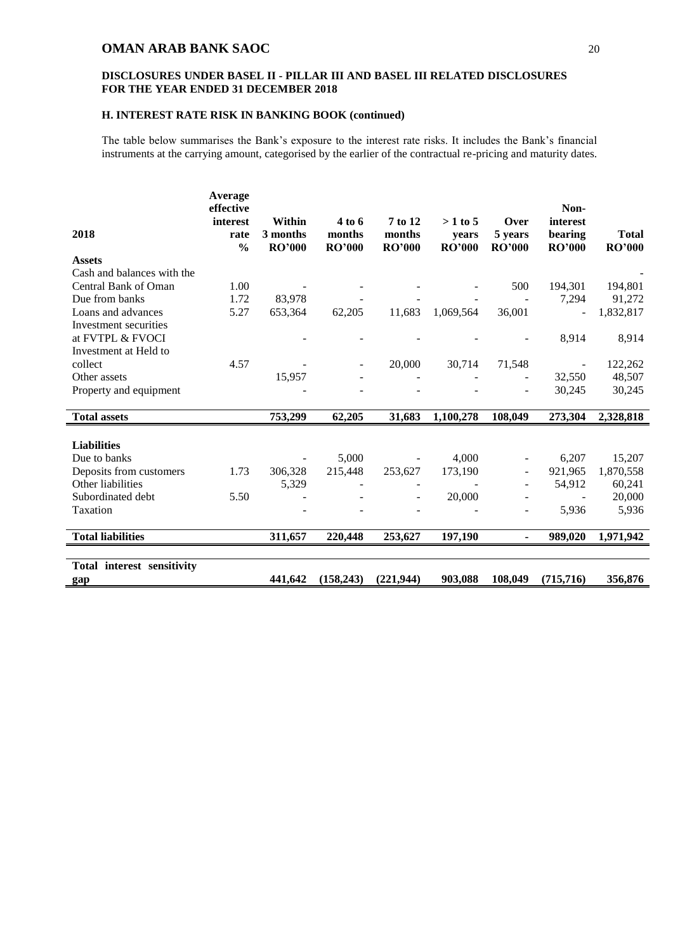#### **DISCLOSURES UNDER BASEL II - PILLAR III AND BASEL III RELATED DISCLOSURES FOR THE YEAR ENDED 31 DECEMBER 2018**

#### **H. INTEREST RATE RISK IN BANKING BOOK (continued)**

The table below summarises the Bank's exposure to the interest rate risks. It includes the Bank's financial instruments at the carrying amount, categorised by the earlier of the contractual re-pricing and maturity dates.

|                                             | Average<br>effective |               |               |               |               |               | Non-           |               |
|---------------------------------------------|----------------------|---------------|---------------|---------------|---------------|---------------|----------------|---------------|
|                                             | interest             | Within        | 4 to 6        | 7 to 12       | $>1$ to 5     | Over          | interest       |               |
| 2018                                        | rate                 | 3 months      | months        | months        | years         | 5 years       | bearing        | <b>Total</b>  |
|                                             | $\frac{0}{0}$        | <b>RO'000</b> | <b>RO'000</b> | <b>RO'000</b> | <b>RO'000</b> | <b>RO'000</b> | <b>RO'000</b>  | <b>RO'000</b> |
| <b>Assets</b><br>Cash and balances with the |                      |               |               |               |               |               |                |               |
| Central Bank of Oman                        |                      |               |               |               |               |               |                |               |
|                                             | 1.00                 |               |               |               |               | 500           | 194,301        | 194,801       |
| Due from banks                              | 1.72                 | 83,978        |               |               |               |               | 7,294          | 91,272        |
| Loans and advances                          | 5.27                 | 653,364       | 62,205        | 11,683        | 1,069,564     | 36,001        | $\blacksquare$ | 1,832,817     |
| Investment securities                       |                      |               |               |               |               |               |                |               |
| at FVTPL & FVOCI                            |                      |               |               |               |               |               | 8,914          | 8,914         |
| Investment at Held to                       |                      |               |               |               |               |               |                |               |
| collect                                     | 4.57                 |               |               | 20,000        | 30,714        | 71,548        |                | 122,262       |
| Other assets                                |                      | 15,957        |               |               |               |               | 32,550         | 48,507        |
| Property and equipment                      |                      |               |               |               |               |               | 30,245         | 30,245        |
|                                             |                      |               |               |               |               |               |                |               |
| <b>Total assets</b>                         |                      | 753,299       | 62,205        | 31,683        | 1,100,278     | 108,049       | 273,304        | 2,328,818     |
|                                             |                      |               |               |               |               |               |                |               |
| <b>Liabilities</b>                          |                      |               |               |               |               |               |                |               |
| Due to banks                                |                      |               | 5,000         |               | 4,000         |               | 6,207          | 15,207        |
| Deposits from customers                     | 1.73                 | 306,328       | 215,448       | 253,627       | 173,190       |               | 921,965        | 1,870,558     |
| Other liabilities                           |                      | 5,329         |               |               |               |               | 54,912         | 60,241        |
| Subordinated debt                           | 5.50                 |               |               |               | 20,000        |               | $\blacksquare$ | 20,000        |
| Taxation                                    |                      |               |               |               |               |               | 5,936          | 5,936         |
|                                             |                      |               |               |               |               |               |                |               |
| <b>Total liabilities</b>                    |                      | 311,657       | 220,448       | 253,627       | 197,190       |               | 989,020        | 1,971,942     |
|                                             |                      |               |               |               |               |               |                |               |
| Total interest sensitivity                  |                      |               |               |               |               |               |                |               |
| gap                                         |                      | 441,642       | (158, 243)    | (221, 944)    | 903,088       | 108,049       | (715, 716)     | 356,876       |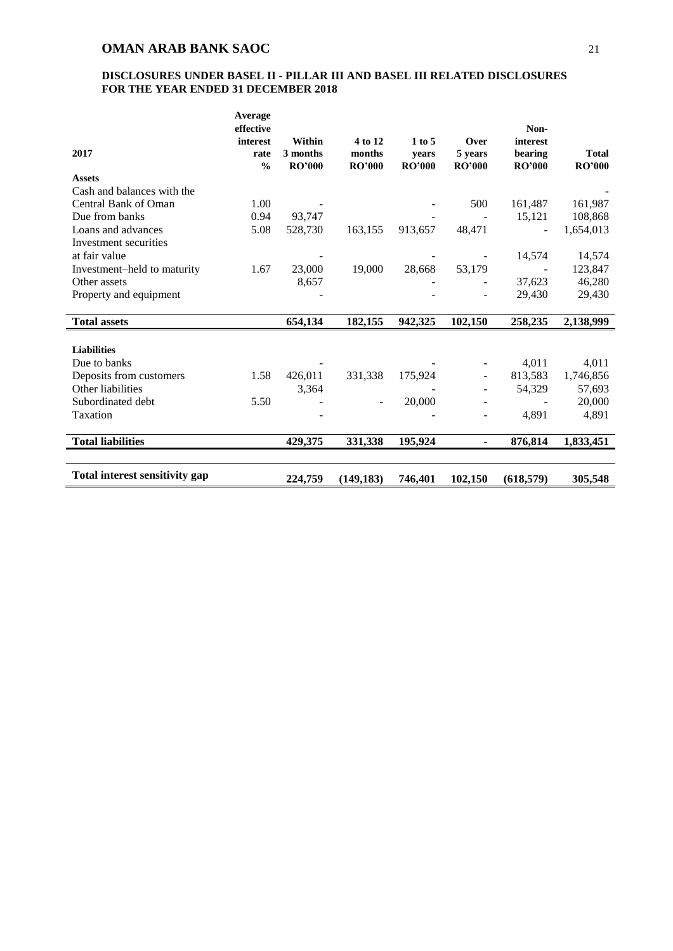|                                | Average<br>effective  |                           |                         |                        |                          | Non-                     |                               |
|--------------------------------|-----------------------|---------------------------|-------------------------|------------------------|--------------------------|--------------------------|-------------------------------|
|                                | interest              | Within                    | 4 to 12                 | 1 to 5                 | Over                     | interest                 |                               |
| 2017                           | rate<br>$\frac{0}{0}$ | 3 months<br><b>RO'000</b> | months<br><b>RO'000</b> | vears<br><b>RO'000</b> | 5 years<br><b>RO'000</b> | bearing<br><b>RO'000</b> | <b>Total</b><br><b>RO'000</b> |
| <b>Assets</b>                  |                       |                           |                         |                        |                          |                          |                               |
| Cash and balances with the     |                       |                           |                         |                        |                          |                          |                               |
| Central Bank of Oman           | 1.00                  |                           |                         |                        | 500                      | 161,487                  | 161,987                       |
| Due from banks                 | 0.94                  | 93,747                    |                         |                        |                          | 15,121                   | 108,868                       |
| Loans and advances             | 5.08                  | 528,730                   | 163,155                 | 913,657                | 48,471                   |                          | 1,654,013                     |
| Investment securities          |                       |                           |                         |                        |                          |                          |                               |
| at fair value                  |                       |                           |                         |                        |                          | 14,574                   | 14,574                        |
| Investment-held to maturity    | 1.67                  | 23,000                    | 19,000                  | 28,668                 | 53,179                   |                          | 123,847                       |
| Other assets                   |                       | 8,657                     |                         |                        |                          | 37,623                   | 46,280                        |
| Property and equipment         |                       |                           |                         |                        |                          | 29,430                   | 29,430                        |
|                                |                       |                           |                         |                        |                          |                          |                               |
| <b>Total assets</b>            |                       | 654,134                   | 182,155                 | 942,325                | 102,150                  | 258,235                  | 2,138,999                     |
|                                |                       |                           |                         |                        |                          |                          |                               |
| <b>Liabilities</b>             |                       |                           |                         |                        |                          |                          |                               |
| Due to banks                   |                       |                           |                         |                        |                          | 4,011                    | 4,011                         |
| Deposits from customers        | 1.58                  | 426,011                   | 331,338                 | 175,924                |                          | 813,583                  | 1,746,856                     |
| Other liabilities              |                       | 3,364                     |                         |                        |                          | 54,329                   | 57,693                        |
| Subordinated debt              | 5.50                  |                           |                         | 20,000                 |                          |                          | 20,000                        |
| Taxation                       |                       |                           |                         |                        |                          | 4,891                    | 4,891                         |
|                                |                       |                           |                         |                        |                          |                          |                               |
| <b>Total liabilities</b>       |                       | 429,375                   | 331,338                 | 195,924                |                          | 876,814                  | 1,833,451                     |
|                                |                       |                           |                         |                        |                          |                          |                               |
| Total interest sensitivity gap |                       | 224,759                   | (149, 183)              | 746,401                | 102,150                  | (618, 579)               | 305,548                       |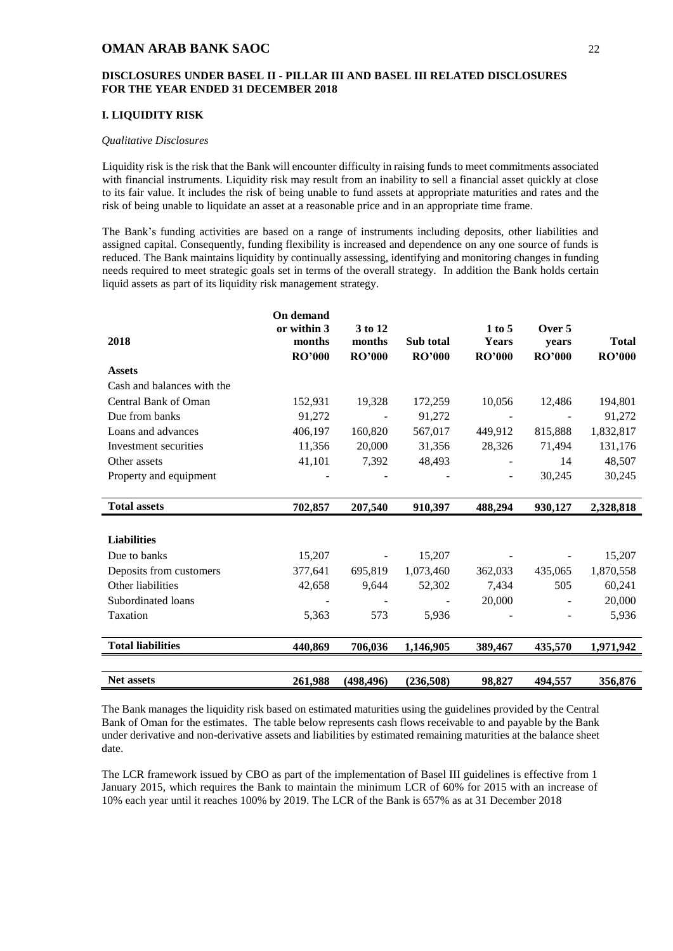#### **DISCLOSURES UNDER BASEL II - PILLAR III AND BASEL III RELATED DISCLOSURES FOR THE YEAR ENDED 31 DECEMBER 2018**

#### <span id="page-23-0"></span>**I. LIQUIDITY RISK**

#### *Qualitative Disclosures*

Liquidity risk is the risk that the Bank will encounter difficulty in raising funds to meet commitments associated with financial instruments. Liquidity risk may result from an inability to sell a financial asset quickly at close to its fair value. It includes the risk of being unable to fund assets at appropriate maturities and rates and the risk of being unable to liquidate an asset at a reasonable price and in an appropriate time frame.

The Bank's funding activities are based on a range of instruments including deposits, other liabilities and assigned capital. Consequently, funding flexibility is increased and dependence on any one source of funds is reduced. The Bank maintains liquidity by continually assessing, identifying and monitoring changes in funding needs required to meet strategic goals set in terms of the overall strategy. In addition the Bank holds certain liquid assets as part of its liquidity risk management strategy.

|                            | <b>On demand</b> |               |               |                          |               |               |
|----------------------------|------------------|---------------|---------------|--------------------------|---------------|---------------|
|                            | or within 3      | 3 to 12       |               | 1 to 5                   | Over 5        |               |
| 2018                       | months           | months        | Sub total     | <b>Years</b>             | years         | <b>Total</b>  |
|                            | <b>RO'000</b>    | <b>RO'000</b> | <b>RO'000</b> | <b>RO'000</b>            | <b>RO'000</b> | <b>RO'000</b> |
| <b>Assets</b>              |                  |               |               |                          |               |               |
| Cash and balances with the |                  |               |               |                          |               |               |
| Central Bank of Oman       | 152,931          | 19,328        | 172,259       | 10,056                   | 12,486        | 194,801       |
| Due from banks             | 91,272           |               | 91,272        |                          |               | 91,272        |
| Loans and advances         | 406,197          | 160,820       | 567,017       | 449,912                  | 815,888       | 1,832,817     |
| Investment securities      | 11,356           | 20,000        | 31,356        | 28,326                   | 71,494        | 131,176       |
| Other assets               | 41,101           | 7,392         | 48,493        |                          | 14            | 48,507        |
| Property and equipment     |                  |               |               | $\overline{\phantom{a}}$ | 30,245        | 30,245        |
|                            |                  |               |               |                          |               |               |
| <b>Total assets</b>        | 702,857          | 207,540       | 910,397       | 488,294                  | 930,127       | 2,328,818     |
|                            |                  |               |               |                          |               |               |
| <b>Liabilities</b>         |                  |               |               |                          |               |               |
| Due to banks               | 15,207           |               | 15,207        |                          |               | 15,207        |
| Deposits from customers    | 377,641          | 695,819       | 1,073,460     | 362,033                  | 435,065       | 1,870,558     |
| Other liabilities          | 42,658           | 9.644         | 52,302        | 7,434                    | 505           | 60,241        |
| Subordinated loans         |                  |               |               | 20,000                   |               | 20,000        |
| Taxation                   | 5,363            | 573           | 5,936         |                          |               | 5,936         |
|                            |                  |               |               |                          |               |               |
| <b>Total liabilities</b>   | 440,869          | 706,036       | 1,146,905     | 389,467                  | 435,570       | 1,971,942     |
|                            |                  |               |               |                          |               |               |
| Net assets                 | 261,988          | (498, 496)    | (236,508)     | 98,827                   | 494,557       | 356,876       |

The Bank manages the liquidity risk based on estimated maturities using the guidelines provided by the Central Bank of Oman for the estimates. The table below represents cash flows receivable to and payable by the Bank under derivative and non-derivative assets and liabilities by estimated remaining maturities at the balance sheet date.

<span id="page-23-1"></span>The LCR framework issued by CBO as part of the implementation of Basel III guidelines is effective from 1 January 2015, which requires the Bank to maintain the minimum LCR of 60% for 2015 with an increase of 10% each year until it reaches 100% by 2019. The LCR of the Bank is 657% as at 31 December 2018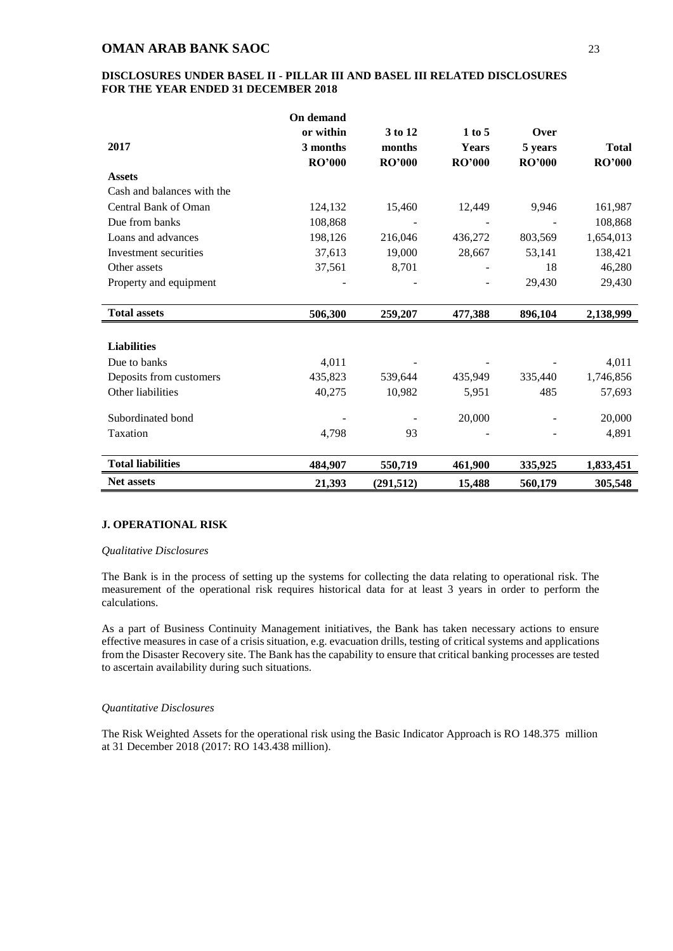#### **DISCLOSURES UNDER BASEL II - PILLAR III AND BASEL III RELATED DISCLOSURES FOR THE YEAR ENDED 31 DECEMBER 2018**

|                            | On demand     |               |               |               |               |
|----------------------------|---------------|---------------|---------------|---------------|---------------|
|                            | or within     | 3 to 12       | 1 to 5        | Over          |               |
| 2017                       | 3 months      | months        | <b>Years</b>  | 5 years       | <b>Total</b>  |
|                            | <b>RO'000</b> | <b>RO'000</b> | <b>RO'000</b> | <b>RO'000</b> | <b>RO'000</b> |
| <b>Assets</b>              |               |               |               |               |               |
| Cash and balances with the |               |               |               |               |               |
| Central Bank of Oman       | 124,132       | 15,460        | 12,449        | 9,946         | 161,987       |
| Due from banks             | 108,868       |               |               |               | 108,868       |
| Loans and advances         | 198,126       | 216,046       | 436,272       | 803,569       | 1,654,013     |
| Investment securities      | 37,613        | 19,000        | 28,667        | 53,141        | 138,421       |
| Other assets               | 37,561        | 8,701         |               | 18            | 46,280        |
| Property and equipment     |               |               |               | 29,430        | 29,430        |
|                            |               |               |               |               |               |
| <b>Total assets</b>        | 506,300       | 259,207       | 477,388       | 896,104       | 2,138,999     |
|                            |               |               |               |               |               |
| <b>Liabilities</b>         |               |               |               |               |               |
| Due to banks               | 4,011         |               |               |               | 4,011         |
| Deposits from customers    | 435,823       | 539,644       | 435,949       | 335,440       | 1,746,856     |
| Other liabilities          | 40,275        | 10,982        | 5,951         | 485           | 57,693        |
| Subordinated bond          |               |               | 20,000        |               | 20,000        |
|                            |               |               |               |               |               |
| Taxation                   | 4,798         | 93            |               |               | 4,891         |
| <b>Total liabilities</b>   | 484,907       | 550,719       | 461,900       | 335,925       | 1,833,451     |
| <b>Net assets</b>          | 21,393        | (291, 512)    | 15,488        | 560,179       | 305,548       |

### **J. OPERATIONAL RISK**

#### *Qualitative Disclosures*

The Bank is in the process of setting up the systems for collecting the data relating to operational risk. The measurement of the operational risk requires historical data for at least 3 years in order to perform the calculations.

As a part of Business Continuity Management initiatives, the Bank has taken necessary actions to ensure effective measures in case of a crisis situation, e.g. evacuation drills, testing of critical systems and applications from the Disaster Recovery site. The Bank has the capability to ensure that critical banking processes are tested to ascertain availability during such situations.

#### *Quantitative Disclosures*

The Risk Weighted Assets for the operational risk using the Basic Indicator Approach is RO 148.375 million at 31 December 2018 (2017: RO 143.438 million).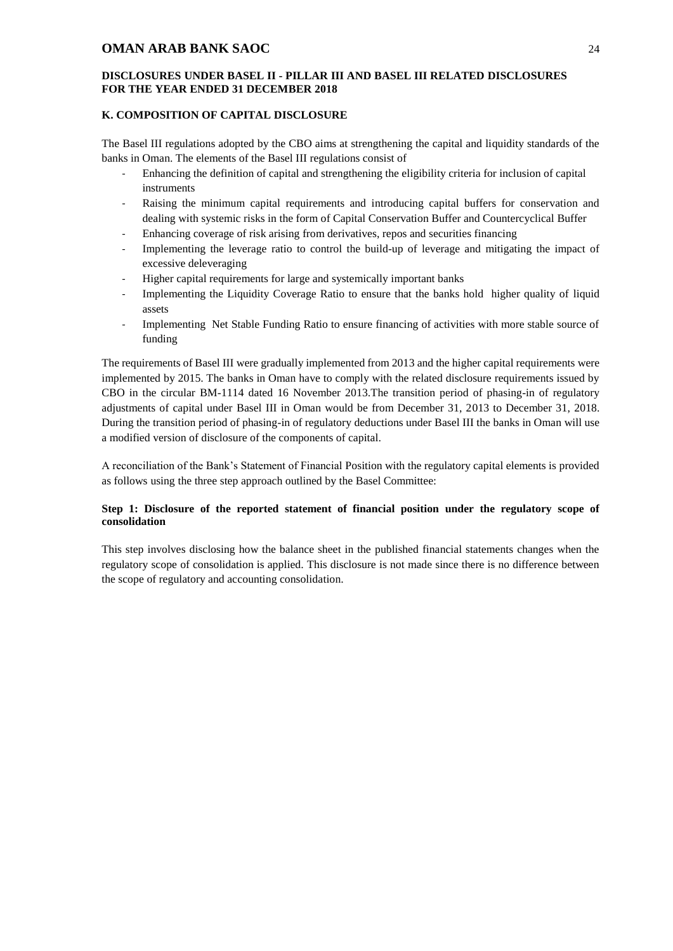#### **DISCLOSURES UNDER BASEL II - PILLAR III AND BASEL III RELATED DISCLOSURES FOR THE YEAR ENDED 31 DECEMBER 2018**

#### <span id="page-25-0"></span>**K. COMPOSITION OF CAPITAL DISCLOSURE**

The Basel III regulations adopted by the CBO aims at strengthening the capital and liquidity standards of the banks in Oman. The elements of the Basel III regulations consist of

- Enhancing the definition of capital and strengthening the eligibility criteria for inclusion of capital instruments
- Raising the minimum capital requirements and introducing capital buffers for conservation and dealing with systemic risks in the form of Capital Conservation Buffer and Countercyclical Buffer
- Enhancing coverage of risk arising from derivatives, repos and securities financing
- Implementing the leverage ratio to control the build-up of leverage and mitigating the impact of excessive deleveraging
- Higher capital requirements for large and systemically important banks
- Implementing the Liquidity Coverage Ratio to ensure that the banks hold higher quality of liquid assets
- Implementing Net Stable Funding Ratio to ensure financing of activities with more stable source of funding

The requirements of Basel III were gradually implemented from 2013 and the higher capital requirements were implemented by 2015. The banks in Oman have to comply with the related disclosure requirements issued by CBO in the circular BM-1114 dated 16 November 2013.The transition period of phasing-in of regulatory adjustments of capital under Basel III in Oman would be from December 31, 2013 to December 31, 2018. During the transition period of phasing-in of regulatory deductions under Basel III the banks in Oman will use a modified version of disclosure of the components of capital.

A reconciliation of the Bank's Statement of Financial Position with the regulatory capital elements is provided as follows using the three step approach outlined by the Basel Committee:

### **Step 1: Disclosure of the reported statement of financial position under the regulatory scope of consolidation**

This step involves disclosing how the balance sheet in the published financial statements changes when the regulatory scope of consolidation is applied. This disclosure is not made since there is no difference between the scope of regulatory and accounting consolidation.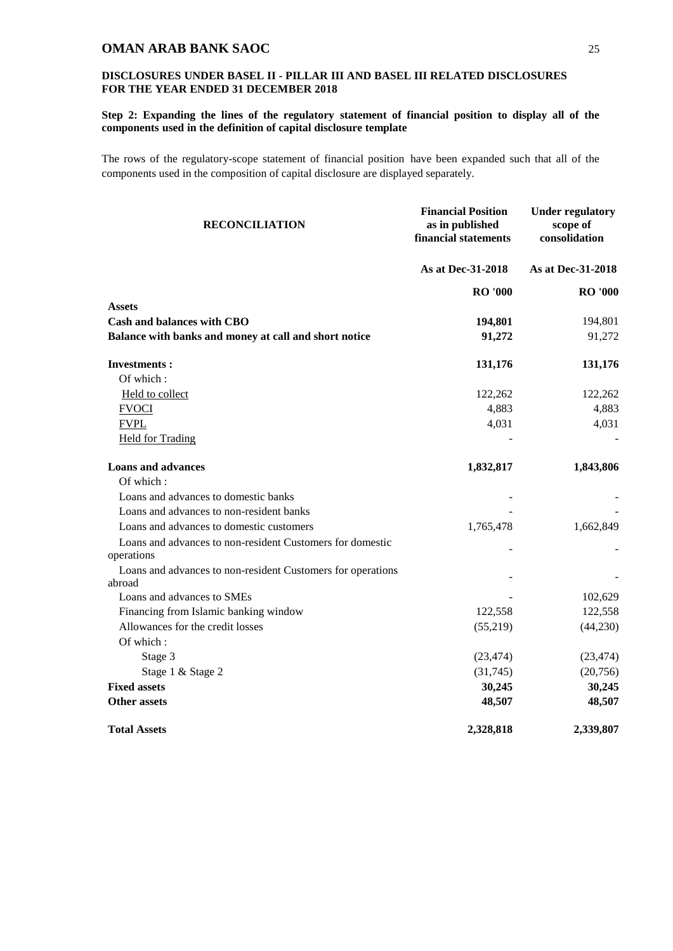### **DISCLOSURES UNDER BASEL II - PILLAR III AND BASEL III RELATED DISCLOSURES FOR THE YEAR ENDED 31 DECEMBER 2018**

#### **Step 2: Expanding the lines of the regulatory statement of financial position to display all of the components used in the definition of capital disclosure template**

The rows of the regulatory-scope statement of financial position have been expanded such that all of the components used in the composition of capital disclosure are displayed separately.

| <b>RECONCILIATION</b>                                       | <b>Financial Position</b><br>as in published<br>financial statements | <b>Under regulatory</b><br>scope of<br>consolidation |  |
|-------------------------------------------------------------|----------------------------------------------------------------------|------------------------------------------------------|--|
|                                                             | As at Dec-31-2018                                                    | As at Dec-31-2018                                    |  |
|                                                             | <b>RO</b> '000                                                       | <b>RO</b> '000                                       |  |
| <b>Assets</b>                                               |                                                                      |                                                      |  |
| <b>Cash and balances with CBO</b>                           | 194,801                                                              | 194,801                                              |  |
| Balance with banks and money at call and short notice       | 91,272                                                               | 91,272                                               |  |
| <b>Investments:</b>                                         | 131,176                                                              | 131,176                                              |  |
| Of which:                                                   |                                                                      |                                                      |  |
| Held to collect                                             | 122,262                                                              | 122,262                                              |  |
| <b>FVOCI</b>                                                | 4,883                                                                | 4,883                                                |  |
| <b>FVPL</b>                                                 | 4,031                                                                | 4,031                                                |  |
| <b>Held for Trading</b>                                     |                                                                      |                                                      |  |
| <b>Loans and advances</b>                                   | 1,832,817                                                            | 1,843,806                                            |  |
| Of which:                                                   |                                                                      |                                                      |  |
| Loans and advances to domestic banks                        |                                                                      |                                                      |  |
| Loans and advances to non-resident banks                    |                                                                      |                                                      |  |
| Loans and advances to domestic customers                    | 1,765,478                                                            | 1,662,849                                            |  |
| Loans and advances to non-resident Customers for domestic   |                                                                      |                                                      |  |
| operations                                                  |                                                                      |                                                      |  |
| Loans and advances to non-resident Customers for operations |                                                                      |                                                      |  |
| abroad                                                      |                                                                      |                                                      |  |
| Loans and advances to SMEs                                  |                                                                      | 102,629                                              |  |
| Financing from Islamic banking window                       | 122,558                                                              | 122,558                                              |  |
| Allowances for the credit losses                            | (55,219)                                                             | (44,230)                                             |  |
| Of which:                                                   |                                                                      |                                                      |  |
| Stage 3                                                     | (23, 474)                                                            | (23, 474)                                            |  |
| Stage 1 & Stage 2                                           | (31,745)                                                             | (20,756)                                             |  |
| <b>Fixed assets</b>                                         | 30,245                                                               | 30,245                                               |  |
| <b>Other assets</b>                                         | 48,507                                                               | 48,507                                               |  |
| <b>Total Assets</b>                                         | 2,328,818                                                            | 2,339,807                                            |  |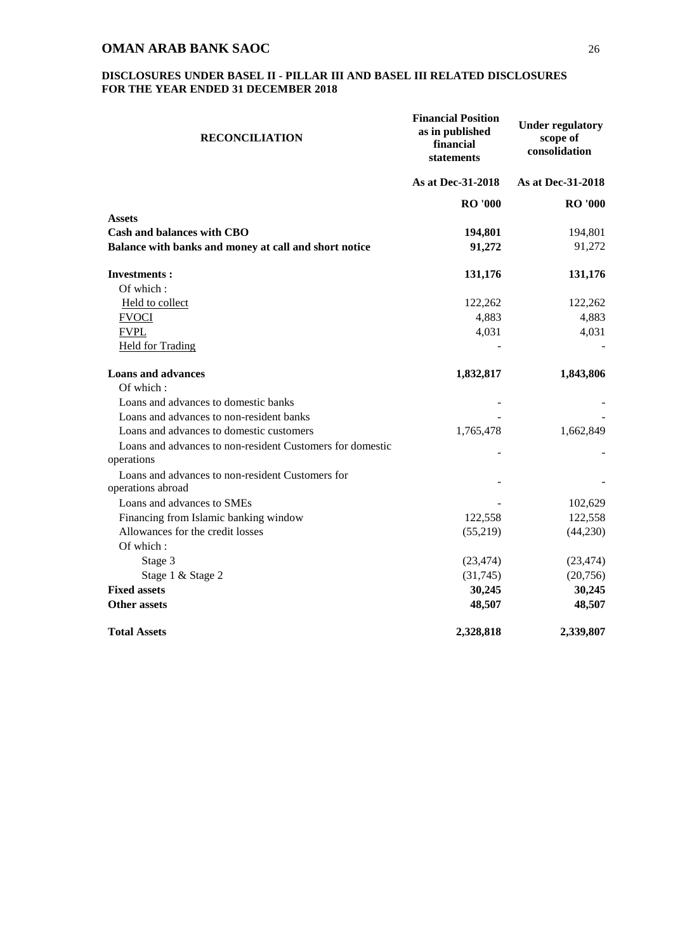| <b>RECONCILIATION</b>                                     | <b>Financial Position</b><br>as in published<br>financial<br>statements | <b>Under regulatory</b><br>scope of<br>consolidation |
|-----------------------------------------------------------|-------------------------------------------------------------------------|------------------------------------------------------|
|                                                           | As at Dec-31-2018                                                       | As at Dec-31-2018                                    |
|                                                           | <b>RO</b> '000                                                          | <b>RO</b> '000                                       |
| <b>Assets</b>                                             |                                                                         |                                                      |
| Cash and balances with CBO                                | 194,801                                                                 | 194,801                                              |
| Balance with banks and money at call and short notice     | 91,272                                                                  | 91,272                                               |
| <b>Investments:</b>                                       | 131,176                                                                 | 131,176                                              |
| Of which:                                                 |                                                                         |                                                      |
| Held to collect                                           | 122,262                                                                 | 122,262                                              |
| <b>FVOCI</b>                                              | 4,883                                                                   | 4,883                                                |
| <b>FVPL</b>                                               | 4,031                                                                   | 4,031                                                |
| <b>Held for Trading</b>                                   |                                                                         |                                                      |
| <b>Loans and advances</b>                                 | 1,832,817                                                               | 1,843,806                                            |
| Of which:                                                 |                                                                         |                                                      |
| Loans and advances to domestic banks                      |                                                                         |                                                      |
| Loans and advances to non-resident banks                  |                                                                         |                                                      |
| Loans and advances to domestic customers                  | 1,765,478                                                               | 1,662,849                                            |
| Loans and advances to non-resident Customers for domestic |                                                                         |                                                      |
| operations                                                |                                                                         |                                                      |
| Loans and advances to non-resident Customers for          |                                                                         |                                                      |
| operations abroad                                         |                                                                         |                                                      |
| Loans and advances to SMEs                                |                                                                         | 102,629                                              |
| Financing from Islamic banking window                     | 122,558                                                                 | 122,558                                              |
| Allowances for the credit losses                          | (55,219)                                                                | (44,230)                                             |
| Of which:                                                 |                                                                         |                                                      |
| Stage 3                                                   | (23, 474)                                                               | (23, 474)                                            |
| Stage 1 & Stage 2                                         | (31,745)                                                                | (20,756)                                             |
| <b>Fixed assets</b>                                       | 30,245                                                                  | 30,245                                               |
| <b>Other assets</b>                                       | 48,507                                                                  | 48,507                                               |
| <b>Total Assets</b>                                       | 2,328,818                                                               | 2,339,807                                            |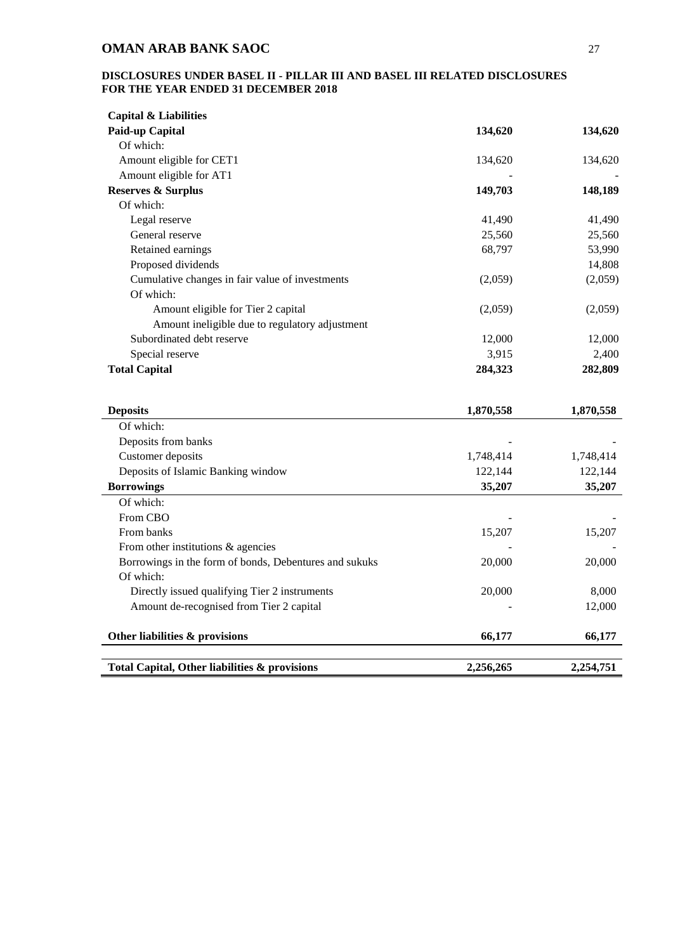| <b>Capital &amp; Liabilities</b>                       |           |           |
|--------------------------------------------------------|-----------|-----------|
| Paid-up Capital                                        | 134,620   | 134,620   |
| Of which:                                              |           |           |
| Amount eligible for CET1                               | 134,620   | 134,620   |
| Amount eligible for AT1                                |           |           |
| <b>Reserves &amp; Surplus</b>                          | 149,703   | 148,189   |
| Of which:                                              |           |           |
| Legal reserve                                          | 41,490    | 41,490    |
| General reserve                                        | 25,560    | 25,560    |
| Retained earnings                                      | 68,797    | 53,990    |
| Proposed dividends                                     |           | 14,808    |
| Cumulative changes in fair value of investments        | (2,059)   | (2,059)   |
| Of which:                                              |           |           |
| Amount eligible for Tier 2 capital                     | (2,059)   | (2,059)   |
| Amount ineligible due to regulatory adjustment         |           |           |
| Subordinated debt reserve                              | 12,000    | 12,000    |
| Special reserve                                        | 3,915     | 2,400     |
| <b>Total Capital</b>                                   | 284,323   | 282,809   |
|                                                        |           |           |
|                                                        |           |           |
|                                                        |           |           |
| <b>Deposits</b>                                        | 1,870,558 | 1,870,558 |
| Of which:                                              |           |           |
| Deposits from banks                                    |           |           |
| Customer deposits                                      | 1,748,414 | 1,748,414 |
| Deposits of Islamic Banking window                     | 122,144   | 122,144   |
| <b>Borrowings</b>                                      | 35,207    | 35,207    |
| Of which:                                              |           |           |
| From CBO                                               |           |           |
| From banks                                             | 15,207    | 15,207    |
| From other institutions $\&$ agencies                  |           |           |
| Borrowings in the form of bonds, Debentures and sukuks | 20,000    | 20,000    |
| Of which:                                              |           |           |
| Directly issued qualifying Tier 2 instruments          | 20,000    | 8,000     |
| Amount de-recognised from Tier 2 capital               |           | 12,000    |
|                                                        |           |           |
| Other liabilities & provisions                         | 66,177    | 66,177    |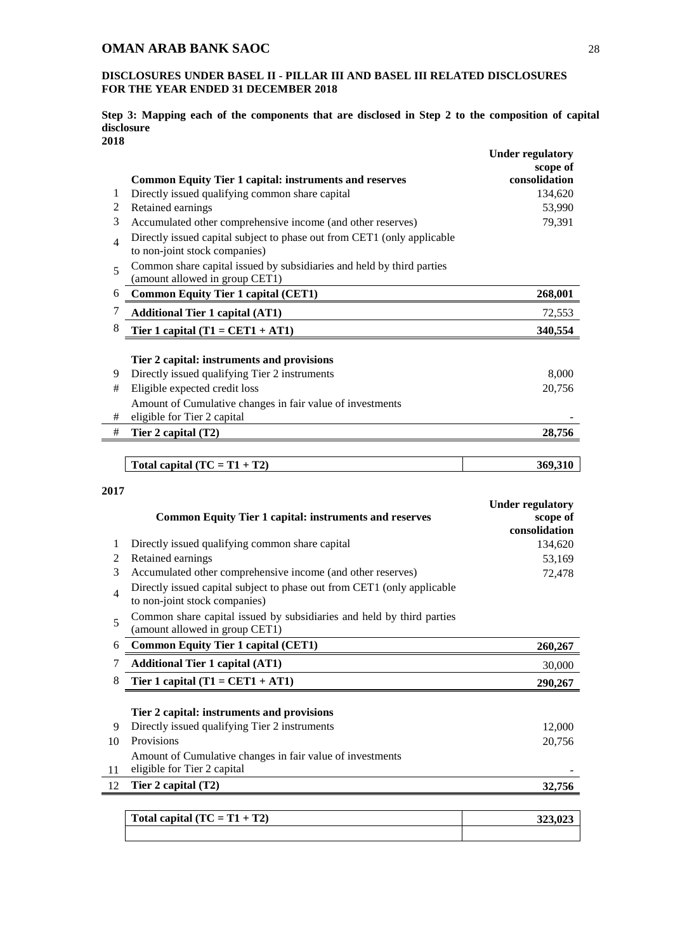## **DISCLOSURES UNDER BASEL II - PILLAR III AND BASEL III RELATED DISCLOSURES FOR THE YEAR ENDED 31 DECEMBER 2018**

#### **Step 3: Mapping each of the components that are disclosed in Step 2 to the composition of capital disclosure 2018**

|                |                                                                                                          | <b>Under regulatory</b> |
|----------------|----------------------------------------------------------------------------------------------------------|-------------------------|
|                |                                                                                                          | scope of                |
|                | <b>Common Equity Tier 1 capital: instruments and reserves</b>                                            | consolidation           |
| 1              | Directly issued qualifying common share capital                                                          | 134,620                 |
| $\overline{c}$ | Retained earnings                                                                                        | 53,990                  |
| 3              | Accumulated other comprehensive income (and other reserves)                                              | 79,391                  |
| $\overline{4}$ | Directly issued capital subject to phase out from CET1 (only applicable<br>to non-joint stock companies) |                         |
| 5              | Common share capital issued by subsidiaries and held by third parties<br>(amount allowed in group CET1)  |                         |
| 6              | <b>Common Equity Tier 1 capital (CET1)</b>                                                               | 268,001                 |
| 7              | <b>Additional Tier 1 capital (AT1)</b>                                                                   | 72,553                  |
| 8              | Tier 1 capital $(T1 = CET1 + AT1)$                                                                       | 340,554                 |
|                |                                                                                                          |                         |
|                | Tier 2 capital: instruments and provisions                                                               |                         |
| 9              | Directly issued qualifying Tier 2 instruments                                                            | 8,000                   |
| #              | Eligible expected credit loss                                                                            | 20,756                  |
|                | Amount of Cumulative changes in fair value of investments                                                |                         |
| #              | eligible for Tier 2 capital                                                                              |                         |
| $\#$           | Tier 2 capital (T2)                                                                                      | 28,756                  |
|                |                                                                                                          |                         |
|                | Total capital $(TC = T1 + T2)$                                                                           | 369,310                 |
|                |                                                                                                          |                         |
| 2017           |                                                                                                          |                         |
|                |                                                                                                          | <b>Under regulatory</b> |
|                | <b>Common Equity Tier 1 capital: instruments and reserves</b>                                            | scope of                |
|                |                                                                                                          | consolidation           |
| 1              | Directly issued qualifying common share capital                                                          | 134,620                 |
| $\overline{c}$ | Retained earnings                                                                                        | 53,169                  |
| 3              | Accumulated other comprehensive income (and other reserves)                                              | 72,478                  |
| $\overline{4}$ | Directly issued capital subject to phase out from CET1 (only applicable<br>to non-joint stock companies) |                         |
| 5              | Common share capital issued by subsidiaries and held by third parties<br>(amount allowed in group CET1)  |                         |
| 6              | <b>Common Equity Tier 1 capital (CET1)</b>                                                               | 260,267                 |
| 7              | <b>Additional Tier 1 capital (AT1)</b>                                                                   | 30,000                  |
| 8              | Tier 1 capital $(T1 = CET1 + AT1)$                                                                       | 290,267                 |
|                |                                                                                                          |                         |
|                | Tier 2 capital: instruments and provisions                                                               |                         |
| 9              | Directly issued qualifying Tier 2 instruments                                                            | 12,000                  |
| 10             | Provisions                                                                                               | 20,756                  |
|                | Amount of Cumulative changes in fair value of investments                                                |                         |
| 11             | eligible for Tier 2 capital                                                                              |                         |
| 12             | Tier 2 capital (T2)                                                                                      | 32,756                  |
|                |                                                                                                          |                         |
|                | Total capital $(TC = T1 + T2)$                                                                           | 323,023                 |
|                |                                                                                                          |                         |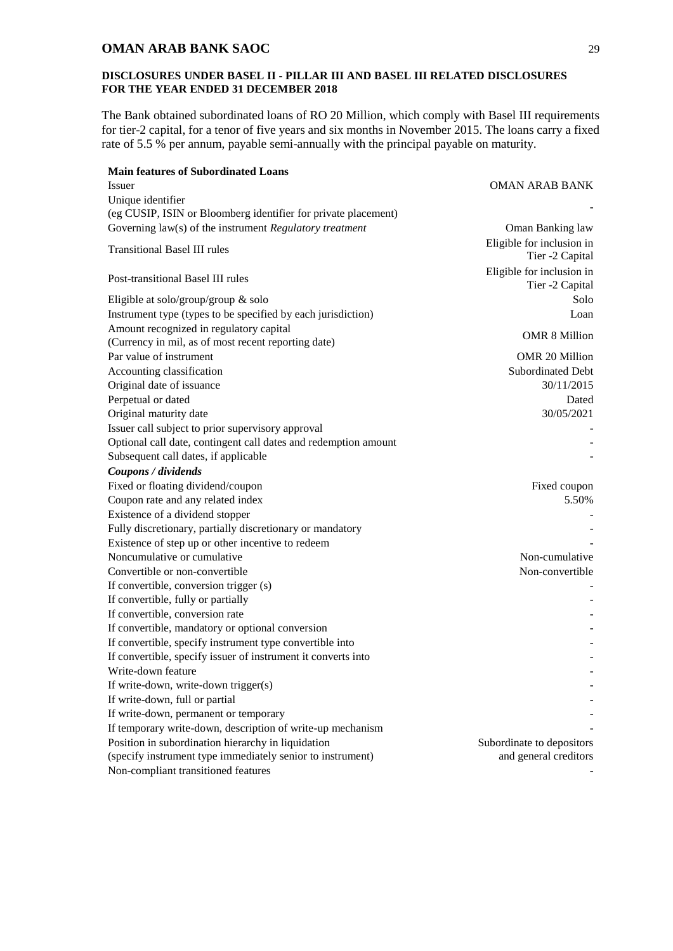### **DISCLOSURES UNDER BASEL II - PILLAR III AND BASEL III RELATED DISCLOSURES FOR THE YEAR ENDED 31 DECEMBER 2018**

The Bank obtained subordinated loans of RO 20 Million, which comply with Basel III requirements for tier-2 capital, for a tenor of five years and six months in November 2015. The loans carry a fixed rate of 5.5 % per annum, payable semi-annually with the principal payable on maturity.

| <b>Main features of Subordinated Loans</b><br><i>Issuer</i>                                    | <b>OMAN ARAB BANK</b>                        |
|------------------------------------------------------------------------------------------------|----------------------------------------------|
| Unique identifier                                                                              |                                              |
| (eg CUSIP, ISIN or Bloomberg identifier for private placement)                                 |                                              |
| Governing law(s) of the instrument Regulatory treatment                                        | Oman Banking law                             |
| <b>Transitional Basel III rules</b>                                                            | Eligible for inclusion in<br>Tier -2 Capital |
| Post-transitional Basel III rules                                                              | Eligible for inclusion in<br>Tier -2 Capital |
| Eligible at solo/group/group $&$ solo                                                          | Solo                                         |
| Instrument type (types to be specified by each jurisdiction)                                   | Loan                                         |
| Amount recognized in regulatory capital<br>(Currency in mil, as of most recent reporting date) | <b>OMR 8 Million</b>                         |
| Par value of instrument                                                                        | OMR 20 Million                               |
| Accounting classification                                                                      | Subordinated Debt                            |
| Original date of issuance                                                                      | 30/11/2015                                   |
| Perpetual or dated                                                                             | Dated                                        |
| Original maturity date                                                                         | 30/05/2021                                   |
| Issuer call subject to prior supervisory approval                                              |                                              |
| Optional call date, contingent call dates and redemption amount                                |                                              |
| Subsequent call dates, if applicable                                                           |                                              |
| Coupons / dividends                                                                            |                                              |
| Fixed or floating dividend/coupon                                                              | Fixed coupon                                 |
| Coupon rate and any related index                                                              | 5.50%                                        |
| Existence of a dividend stopper                                                                |                                              |
| Fully discretionary, partially discretionary or mandatory                                      |                                              |
| Existence of step up or other incentive to redeem                                              |                                              |
| Noncumulative or cumulative                                                                    | Non-cumulative                               |
| Convertible or non-convertible                                                                 | Non-convertible                              |
| If convertible, conversion trigger (s)                                                         |                                              |
| If convertible, fully or partially                                                             |                                              |
| If convertible, conversion rate                                                                |                                              |
| If convertible, mandatory or optional conversion                                               |                                              |
| If convertible, specify instrument type convertible into                                       |                                              |
| If convertible, specify issuer of instrument it converts into                                  |                                              |
| Write-down feature                                                                             |                                              |
| If write-down, write-down trigger(s)                                                           |                                              |
| If write-down, full or partial                                                                 |                                              |
| If write-down, permanent or temporary                                                          |                                              |
| If temporary write-down, description of write-up mechanism                                     |                                              |
| Position in subordination hierarchy in liquidation                                             | Subordinate to depositors                    |
| (specify instrument type immediately senior to instrument)                                     | and general creditors                        |
| Non-compliant transitioned features                                                            |                                              |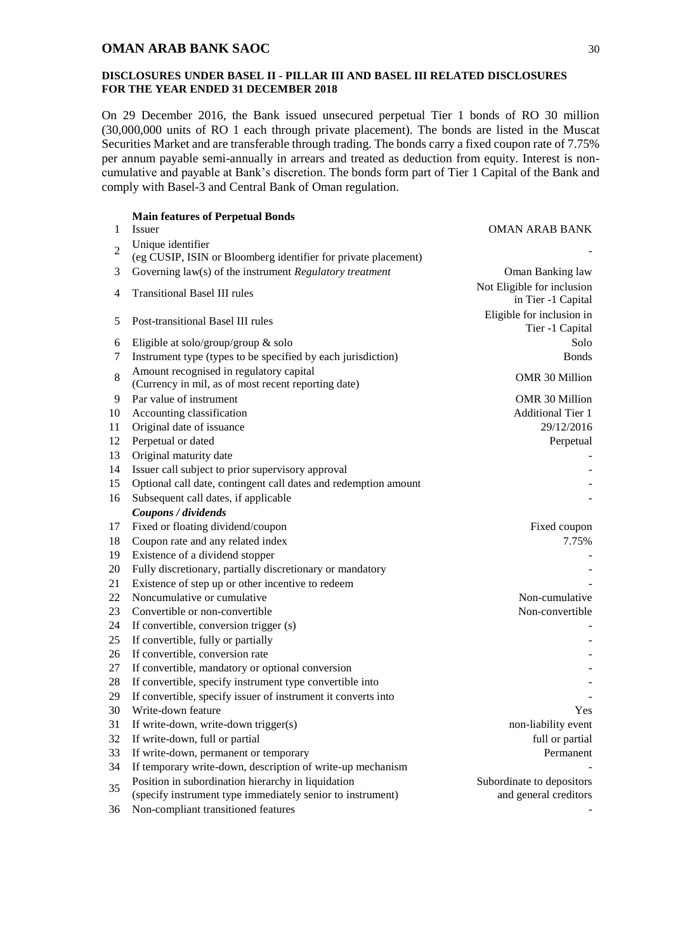#### **DISCLOSURES UNDER BASEL II - PILLAR III AND BASEL III RELATED DISCLOSURES FOR THE YEAR ENDED 31 DECEMBER 2018**

On 29 December 2016, the Bank issued unsecured perpetual Tier 1 bonds of RO 30 million (30,000,000 units of RO 1 each through private placement). The bonds are listed in the Muscat Securities Market and are transferable through trading. The bonds carry a fixed coupon rate of 7.75% per annum payable semi-annually in arrears and treated as deduction from equity. Interest is noncumulative and payable at Bank's discretion. The bonds form part of Tier 1 Capital of the Bank and comply with Basel-3 and Central Bank of Oman regulation.

|                | <b>Main features of Perpetual Bonds</b>                                                                          |                                                    |
|----------------|------------------------------------------------------------------------------------------------------------------|----------------------------------------------------|
| 1              | Issuer                                                                                                           | <b>OMAN ARAB BANK</b>                              |
| $\overline{2}$ | Unique identifier<br>(eg CUSIP, ISIN or Bloomberg identifier for private placement)                              |                                                    |
| 3              | Governing law(s) of the instrument Regulatory treatment                                                          | Oman Banking law                                   |
| 4              | <b>Transitional Basel III rules</b>                                                                              | Not Eligible for inclusion<br>in Tier -1 Capital   |
| 5              | Post-transitional Basel III rules                                                                                | Eligible for inclusion in<br>Tier -1 Capital       |
| 6              | Eligible at solo/group/group $\&$ solo                                                                           | Solo                                               |
| 7              | Instrument type (types to be specified by each jurisdiction)                                                     | <b>Bonds</b>                                       |
| 8              | Amount recognised in regulatory capital<br>(Currency in mil, as of most recent reporting date)                   | OMR 30 Million                                     |
| 9              | Par value of instrument                                                                                          | OMR 30 Million                                     |
| 10             | Accounting classification                                                                                        | <b>Additional Tier 1</b>                           |
| 11             | Original date of issuance                                                                                        | 29/12/2016                                         |
| 12             | Perpetual or dated                                                                                               | Perpetual                                          |
| 13             | Original maturity date                                                                                           |                                                    |
| 14             | Issuer call subject to prior supervisory approval                                                                |                                                    |
| 15             | Optional call date, contingent call dates and redemption amount                                                  |                                                    |
| 16             | Subsequent call dates, if applicable                                                                             |                                                    |
|                | Coupons / dividends                                                                                              |                                                    |
| 17             | Fixed or floating dividend/coupon                                                                                | Fixed coupon                                       |
| 18             | Coupon rate and any related index                                                                                | 7.75%                                              |
| 19             | Existence of a dividend stopper                                                                                  |                                                    |
| 20             | Fully discretionary, partially discretionary or mandatory                                                        |                                                    |
| 21             | Existence of step up or other incentive to redeem                                                                |                                                    |
| 22             | Noncumulative or cumulative                                                                                      | Non-cumulative                                     |
| 23             | Convertible or non-convertible                                                                                   | Non-convertible                                    |
| 24             | If convertible, conversion trigger (s)                                                                           |                                                    |
| 25             | If convertible, fully or partially                                                                               |                                                    |
| 26             | If convertible, conversion rate                                                                                  |                                                    |
| 27             | If convertible, mandatory or optional conversion                                                                 |                                                    |
| 28             | If convertible, specify instrument type convertible into                                                         |                                                    |
| 29             | If convertible, specify issuer of instrument it converts into                                                    |                                                    |
| 30             | Write-down feature                                                                                               | Yes                                                |
| 31             | If write-down, write-down trigger(s)                                                                             | non-liability event                                |
| 32             | If write-down, full or partial                                                                                   | full or partial                                    |
| 33             | If write-down, permanent or temporary                                                                            | Permanent                                          |
| 34             | If temporary write-down, description of write-up mechanism                                                       |                                                    |
| 35             | Position in subordination hierarchy in liquidation<br>(specify instrument type immediately senior to instrument) | Subordinate to depositors<br>and general creditors |
| 36             | Non-compliant transitioned features                                                                              |                                                    |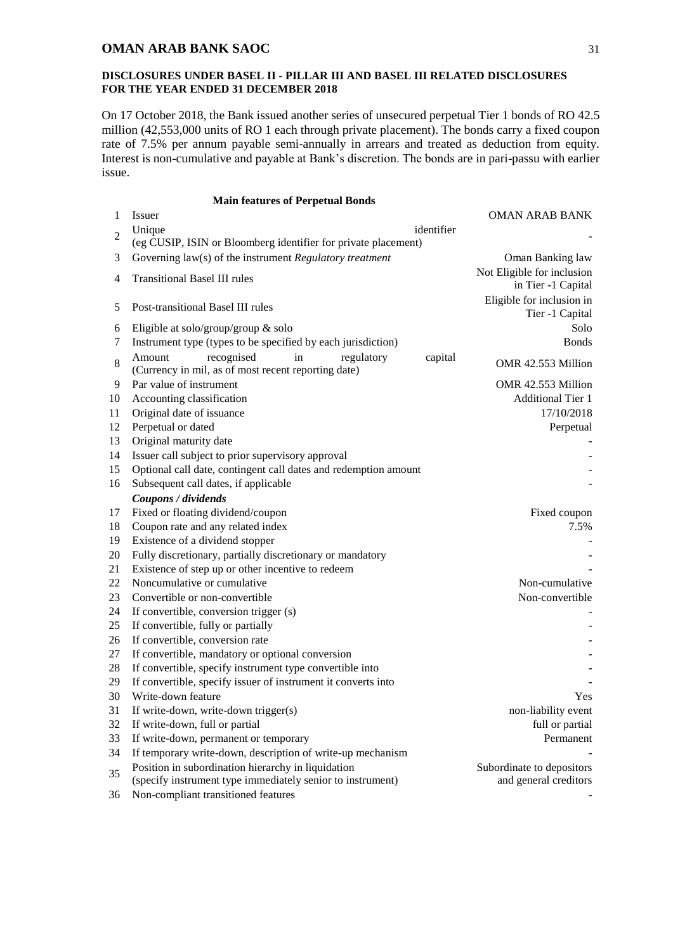#### **DISCLOSURES UNDER BASEL II - PILLAR III AND BASEL III RELATED DISCLOSURES FOR THE YEAR ENDED 31 DECEMBER 2018**

On 17 October 2018, the Bank issued another series of unsecured perpetual Tier 1 bonds of RO 42.5 million (42,553,000 units of RO 1 each through private placement). The bonds carry a fixed coupon rate of 7.5% per annum payable semi-annually in arrears and treated as deduction from equity. Interest is non-cumulative and payable at Bank's discretion. The bonds are in pari-passu with earlier issue.

| <b>Main features of Perpetual Bonds</b> |  |  |  |  |  |
|-----------------------------------------|--|--|--|--|--|
|-----------------------------------------|--|--|--|--|--|

| 1              | Issuer                                                          |            | <b>OMAN ARAB BANK</b>      |
|----------------|-----------------------------------------------------------------|------------|----------------------------|
| $\overline{2}$ | Unique                                                          | identifier |                            |
|                | (eg CUSIP, ISIN or Bloomberg identifier for private placement)  |            |                            |
| 3              | Governing law(s) of the instrument Regulatory treatment         |            | Oman Banking law           |
| 4              | <b>Transitional Basel III rules</b>                             |            | Not Eligible for inclusion |
|                |                                                                 |            | in Tier -1 Capital         |
| 5              | Post-transitional Basel III rules                               |            | Eligible for inclusion in  |
|                |                                                                 |            | Tier -1 Capital            |
| 6              | Eligible at solo/group/group $\&$ solo                          |            | Solo                       |
| 7              | Instrument type (types to be specified by each jurisdiction)    |            | <b>Bonds</b>               |
| 8              | recognised<br>in<br>Amount<br>regulatory                        | capital    | OMR 42.553 Million         |
|                | (Currency in mil, as of most recent reporting date)             |            |                            |
| 9              | Par value of instrument                                         |            | OMR 42.553 Million         |
| 10             | Accounting classification                                       |            | <b>Additional Tier 1</b>   |
| 11             | Original date of issuance                                       |            | 17/10/2018                 |
| 12             | Perpetual or dated                                              |            | Perpetual                  |
| 13             | Original maturity date                                          |            |                            |
| 14             | Issuer call subject to prior supervisory approval               |            |                            |
| 15             | Optional call date, contingent call dates and redemption amount |            |                            |
| 16             | Subsequent call dates, if applicable                            |            |                            |
|                | Coupons / dividends                                             |            |                            |
| 17             | Fixed or floating dividend/coupon                               |            | Fixed coupon               |
| 18             | Coupon rate and any related index                               |            | 7.5%                       |
| 19             | Existence of a dividend stopper                                 |            |                            |
| 20             | Fully discretionary, partially discretionary or mandatory       |            |                            |
| 21             | Existence of step up or other incentive to redeem               |            |                            |
| 22             | Noncumulative or cumulative                                     |            | Non-cumulative             |
| 23             | Convertible or non-convertible                                  |            | Non-convertible            |
| 24             | If convertible, conversion trigger (s)                          |            |                            |
| 25             | If convertible, fully or partially                              |            |                            |
| 26             | If convertible, conversion rate                                 |            |                            |
| 27             | If convertible, mandatory or optional conversion                |            |                            |
| 28             | If convertible, specify instrument type convertible into        |            |                            |
| 29             | If convertible, specify issuer of instrument it converts into   |            |                            |
| 30             | Write-down feature                                              |            | Yes.                       |
| 31             | If write-down, write-down trigger(s)                            |            | non-liability event        |
| 32             | If write-down, full or partial                                  |            | full or partial            |
| 33             | If write-down, permanent or temporary                           |            | Permanent                  |
| 34             | If temporary write-down, description of write-up mechanism      |            |                            |
| 35             | Position in subordination hierarchy in liquidation              |            | Subordinate to depositors  |
|                | (specify instrument type immediately senior to instrument)      |            | and general creditors      |
| 36             | Non-compliant transitioned features                             |            |                            |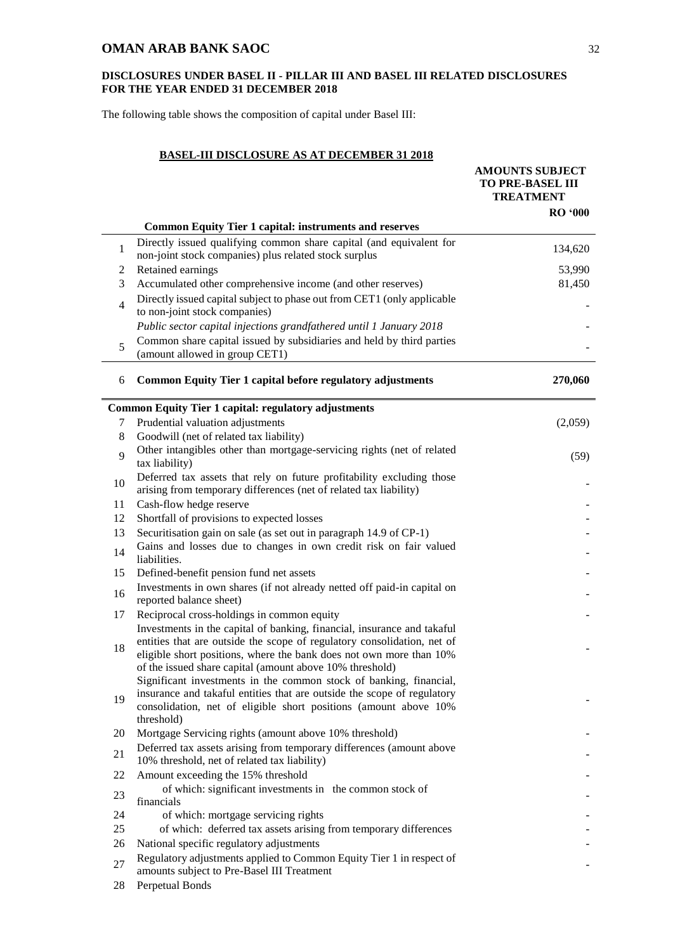### **DISCLOSURES UNDER BASEL II - PILLAR III AND BASEL III RELATED DISCLOSURES FOR THE YEAR ENDED 31 DECEMBER 2018**

The following table shows the composition of capital under Basel III:

## **BASEL-III DISCLOSURE AS AT DECEMBER 31 2018**

|                | <b>Common Equity Tier 1 capital: instruments and reserves</b>                                                                                                                                              | <b>AMOUNTS SUBJECT</b><br><b>TO PRE-BASEL III</b><br><b>TREATMENT</b><br><b>RO</b> '000 |
|----------------|------------------------------------------------------------------------------------------------------------------------------------------------------------------------------------------------------------|-----------------------------------------------------------------------------------------|
| 1              | Directly issued qualifying common share capital (and equivalent for                                                                                                                                        | 134,620                                                                                 |
|                | non-joint stock companies) plus related stock surplus                                                                                                                                                      |                                                                                         |
| 2<br>3         | Retained earnings<br>Accumulated other comprehensive income (and other reserves)                                                                                                                           | 53,990<br>81,450                                                                        |
|                | Directly issued capital subject to phase out from CET1 (only applicable                                                                                                                                    |                                                                                         |
| $\overline{4}$ | to non-joint stock companies)                                                                                                                                                                              |                                                                                         |
|                | Public sector capital injections grandfathered until 1 January 2018                                                                                                                                        |                                                                                         |
| 5              | Common share capital issued by subsidiaries and held by third parties<br>(amount allowed in group CET1)                                                                                                    |                                                                                         |
| 6              | <b>Common Equity Tier 1 capital before regulatory adjustments</b>                                                                                                                                          | 270,060                                                                                 |
|                | <b>Common Equity Tier 1 capital: regulatory adjustments</b>                                                                                                                                                |                                                                                         |
| 7              | Prudential valuation adjustments                                                                                                                                                                           | (2,059)                                                                                 |
| 8              | Goodwill (net of related tax liability)<br>Other intangibles other than mortgage-servicing rights (net of related                                                                                          |                                                                                         |
| $\mathbf Q$    | tax liability)                                                                                                                                                                                             | (59)                                                                                    |
| 10             | Deferred tax assets that rely on future profitability excluding those<br>arising from temporary differences (net of related tax liability)                                                                 |                                                                                         |
| 11             | Cash-flow hedge reserve                                                                                                                                                                                    |                                                                                         |
| 12             | Shortfall of provisions to expected losses                                                                                                                                                                 |                                                                                         |
| 13             | Securitisation gain on sale (as set out in paragraph 14.9 of CP-1)                                                                                                                                         |                                                                                         |
| 14             | Gains and losses due to changes in own credit risk on fair valued<br>liabilities.                                                                                                                          |                                                                                         |
| 15             | Defined-benefit pension fund net assets                                                                                                                                                                    |                                                                                         |
| 16             | Investments in own shares (if not already netted off paid-in capital on<br>reported balance sheet)                                                                                                         |                                                                                         |
| 17             | Reciprocal cross-holdings in common equity                                                                                                                                                                 |                                                                                         |
|                | Investments in the capital of banking, financial, insurance and takaful                                                                                                                                    |                                                                                         |
| 18             | entities that are outside the scope of regulatory consolidation, net of<br>eligible short positions, where the bank does not own more than 10%<br>of the issued share capital (amount above 10% threshold) |                                                                                         |
|                | Significant investments in the common stock of banking, financial,                                                                                                                                         |                                                                                         |
| 19             | insurance and takaful entities that are outside the scope of regulatory<br>consolidation, net of eligible short positions (amount above 10%                                                                |                                                                                         |
| 20             | threshold)<br>Mortgage Servicing rights (amount above 10% threshold)                                                                                                                                       |                                                                                         |
|                | Deferred tax assets arising from temporary differences (amount above                                                                                                                                       |                                                                                         |
| 21             | 10% threshold, net of related tax liability)                                                                                                                                                               |                                                                                         |
| 22             | Amount exceeding the 15% threshold                                                                                                                                                                         |                                                                                         |
| 23             | of which: significant investments in the common stock of<br>financials                                                                                                                                     |                                                                                         |
| 24             | of which: mortgage servicing rights                                                                                                                                                                        |                                                                                         |
| 25             | of which: deferred tax assets arising from temporary differences                                                                                                                                           |                                                                                         |
| 26             | National specific regulatory adjustments                                                                                                                                                                   |                                                                                         |
| 27             | Regulatory adjustments applied to Common Equity Tier 1 in respect of<br>amounts subject to Pre-Basel III Treatment                                                                                         |                                                                                         |
| 28             | Perpetual Bonds                                                                                                                                                                                            |                                                                                         |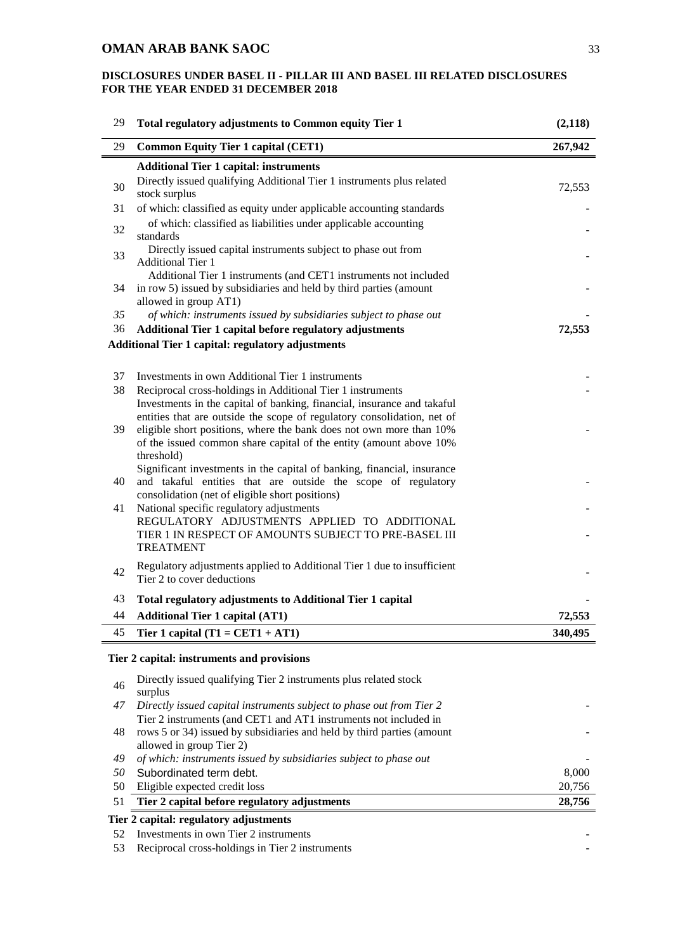| 29 | Total regulatory adjustments to Common equity Tier 1                                                                                                            | (2,118) |
|----|-----------------------------------------------------------------------------------------------------------------------------------------------------------------|---------|
| 29 | <b>Common Equity Tier 1 capital (CET1)</b>                                                                                                                      | 267,942 |
|    | <b>Additional Tier 1 capital: instruments</b>                                                                                                                   |         |
| 30 | Directly issued qualifying Additional Tier 1 instruments plus related<br>stock surplus                                                                          | 72,553  |
| 31 | of which: classified as equity under applicable accounting standards                                                                                            |         |
| 32 | of which: classified as liabilities under applicable accounting<br>standards                                                                                    |         |
| 33 | Directly issued capital instruments subject to phase out from<br><b>Additional Tier 1</b>                                                                       |         |
| 34 | Additional Tier 1 instruments (and CET1 instruments not included<br>in row 5) issued by subsidiaries and held by third parties (amount<br>allowed in group AT1) |         |
| 35 | of which: instruments issued by subsidiaries subject to phase out                                                                                               |         |
| 36 | Additional Tier 1 capital before regulatory adjustments                                                                                                         | 72,553  |
|    | <b>Additional Tier 1 capital: regulatory adjustments</b>                                                                                                        |         |
|    |                                                                                                                                                                 |         |
| 37 | Investments in own Additional Tier 1 instruments                                                                                                                |         |
| 38 | Reciprocal cross-holdings in Additional Tier 1 instruments                                                                                                      |         |
|    | Investments in the capital of banking, financial, insurance and takaful                                                                                         |         |
|    | entities that are outside the scope of regulatory consolidation, net of                                                                                         |         |
| 39 | eligible short positions, where the bank does not own more than 10%                                                                                             |         |
|    | of the issued common share capital of the entity (amount above 10%)                                                                                             |         |
|    | threshold)                                                                                                                                                      |         |
| 40 | Significant investments in the capital of banking, financial, insurance<br>and takaful entities that are outside the scope of regulatory                        |         |
|    | consolidation (net of eligible short positions)                                                                                                                 |         |
| 41 | National specific regulatory adjustments                                                                                                                        |         |
|    | REGULATORY ADJUSTMENTS APPLIED TO ADDITIONAL                                                                                                                    |         |
|    | TIER 1 IN RESPECT OF AMOUNTS SUBJECT TO PRE-BASEL III                                                                                                           |         |
|    | <b>TREATMENT</b>                                                                                                                                                |         |
|    | Regulatory adjustments applied to Additional Tier 1 due to insufficient                                                                                         |         |
| 42 | Tier 2 to cover deductions                                                                                                                                      |         |
| 43 | Total regulatory adjustments to Additional Tier 1 capital                                                                                                       |         |
| 44 | <b>Additional Tier 1 capital (AT1)</b>                                                                                                                          | 72,553  |
| 45 | Tier 1 capital $(T1 = CET1 + AT1)$                                                                                                                              | 340,495 |
|    |                                                                                                                                                                 |         |
|    | Tier 2 capital: instruments and provisions                                                                                                                      |         |
| 46 | Directly issued qualifying Tier 2 instruments plus related stock<br>surplus                                                                                     |         |
| 47 | Directly issued capital instruments subject to phase out from Tier 2                                                                                            |         |
|    | Tier 2 instruments (and CET1 and AT1 instruments not included in                                                                                                |         |
| 48 | rows 5 or 34) issued by subsidiaries and held by third parties (amount                                                                                          |         |
|    | allowed in group Tier 2)                                                                                                                                        |         |
| 49 | of which: instruments issued by subsidiaries subject to phase out                                                                                               |         |
| 50 | Subordinated term debt.                                                                                                                                         | 8,000   |
| 50 | Eligible expected credit loss                                                                                                                                   | 20,756  |
| 51 | Tier 2 capital before regulatory adjustments                                                                                                                    | 28,756  |
|    | Tier 2 capital: regulatory adjustments                                                                                                                          |         |
| 52 | Investments in own Tier 2 instruments                                                                                                                           |         |
| 53 | Reciprocal cross-holdings in Tier 2 instruments                                                                                                                 |         |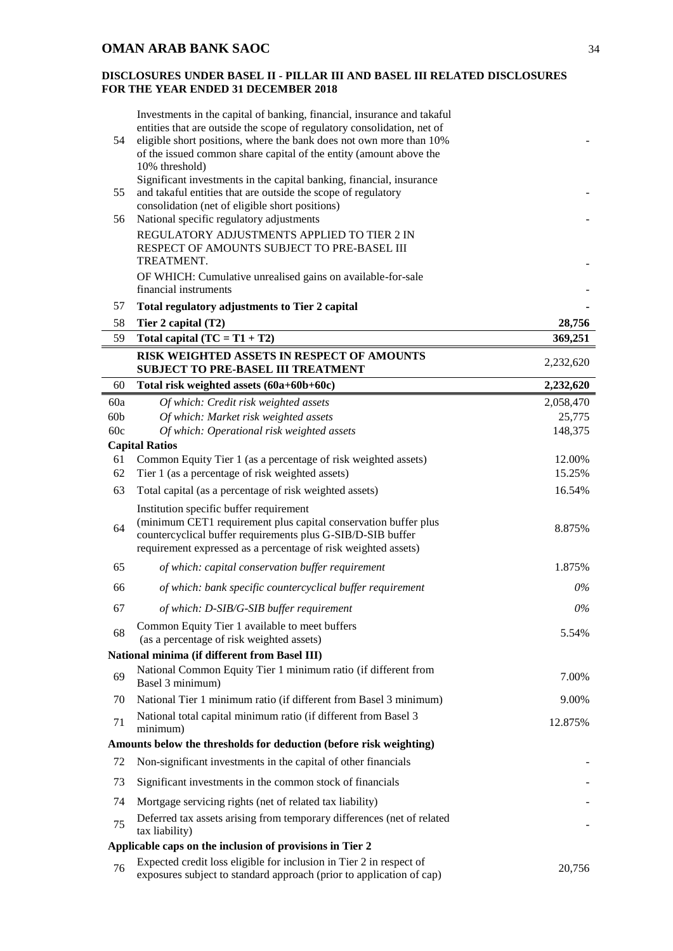| 54              | Investments in the capital of banking, financial, insurance and takaful<br>entities that are outside the scope of regulatory consolidation, net of<br>eligible short positions, where the bank does not own more than 10%                   |           |
|-----------------|---------------------------------------------------------------------------------------------------------------------------------------------------------------------------------------------------------------------------------------------|-----------|
|                 | of the issued common share capital of the entity (amount above the<br>10% threshold)                                                                                                                                                        |           |
|                 | Significant investments in the capital banking, financial, insurance                                                                                                                                                                        |           |
| 55              | and takaful entities that are outside the scope of regulatory                                                                                                                                                                               |           |
| 56              | consolidation (net of eligible short positions)<br>National specific regulatory adjustments                                                                                                                                                 |           |
|                 | REGULATORY ADJUSTMENTS APPLIED TO TIER 2 IN                                                                                                                                                                                                 |           |
|                 | RESPECT OF AMOUNTS SUBJECT TO PRE-BASEL III                                                                                                                                                                                                 |           |
|                 | TREATMENT.                                                                                                                                                                                                                                  |           |
|                 | OF WHICH: Cumulative unrealised gains on available-for-sale<br>financial instruments                                                                                                                                                        |           |
| 57              | Total regulatory adjustments to Tier 2 capital                                                                                                                                                                                              |           |
| 58              | Tier 2 capital $(T2)$                                                                                                                                                                                                                       | 28,756    |
| 59              | Total capital $(TC = T1 + T2)$                                                                                                                                                                                                              | 369,251   |
|                 | RISK WEIGHTED ASSETS IN RESPECT OF AMOUNTS<br><b>SUBJECT TO PRE-BASEL III TREATMENT</b>                                                                                                                                                     | 2,232,620 |
| 60              | Total risk weighted assets (60a+60b+60c)                                                                                                                                                                                                    | 2,232,620 |
| 60a             | Of which: Credit risk weighted assets                                                                                                                                                                                                       | 2,058,470 |
| 60 <sub>b</sub> | Of which: Market risk weighted assets                                                                                                                                                                                                       | 25,775    |
| 60c             | Of which: Operational risk weighted assets                                                                                                                                                                                                  | 148,375   |
|                 | <b>Capital Ratios</b>                                                                                                                                                                                                                       |           |
| 61              | Common Equity Tier 1 (as a percentage of risk weighted assets)                                                                                                                                                                              | 12.00%    |
| 62              | Tier 1 (as a percentage of risk weighted assets)                                                                                                                                                                                            | 15.25%    |
| 63              | Total capital (as a percentage of risk weighted assets)                                                                                                                                                                                     | 16.54%    |
| 64              | Institution specific buffer requirement<br>(minimum CET1 requirement plus capital conservation buffer plus<br>countercyclical buffer requirements plus G-SIB/D-SIB buffer<br>requirement expressed as a percentage of risk weighted assets) | 8.875%    |
| 65              | of which: capital conservation buffer requirement                                                                                                                                                                                           | 1.875%    |
| 66              | of which: bank specific countercyclical buffer requirement                                                                                                                                                                                  | $0\%$     |
| 67              | of which: D-SIB/G-SIB buffer requirement                                                                                                                                                                                                    | $0\%$     |
| 68              | Common Equity Tier 1 available to meet buffers                                                                                                                                                                                              | 5.54%     |
|                 | (as a percentage of risk weighted assets)<br>National minima (if different from Basel III)                                                                                                                                                  |           |
|                 | National Common Equity Tier 1 minimum ratio (if different from                                                                                                                                                                              |           |
| 69              | Basel 3 minimum)                                                                                                                                                                                                                            | 7.00%     |
| 70              | National Tier 1 minimum ratio (if different from Basel 3 minimum)                                                                                                                                                                           | 9.00%     |
| 71              | National total capital minimum ratio (if different from Basel 3<br>minimum)                                                                                                                                                                 | 12.875%   |
|                 | Amounts below the thresholds for deduction (before risk weighting)                                                                                                                                                                          |           |
| 72              | Non-significant investments in the capital of other financials                                                                                                                                                                              |           |
| 73              | Significant investments in the common stock of financials                                                                                                                                                                                   |           |
| 74              | Mortgage servicing rights (net of related tax liability)                                                                                                                                                                                    |           |
| 75              | Deferred tax assets arising from temporary differences (net of related<br>tax liability)                                                                                                                                                    |           |
|                 | Applicable caps on the inclusion of provisions in Tier 2                                                                                                                                                                                    |           |
| 76              | Expected credit loss eligible for inclusion in Tier 2 in respect of<br>exposures subject to standard approach (prior to application of cap)                                                                                                 | 20,756    |